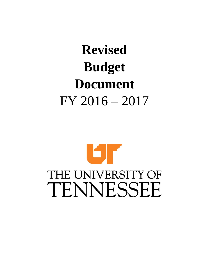# **Revised Budget Document**  FY 2016 – 2017

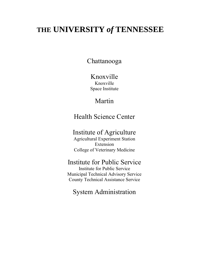# **THE UNIVERSITY** *of* **TENNESSEE**

# Chattanooga

Knoxville Knoxville Space Institute

# Martin

# Health Science Center

# Institute of Agriculture

Agricultural Experiment Station Extension College of Veterinary Medicine

## Institute for Public Service

Institute for Public Service Municipal Technical Advisory Service County Technical Assistance Service

# System Administration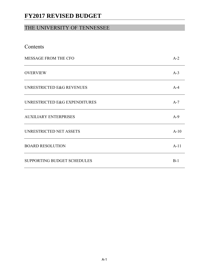### THE UNIVERSITY OF TENNESSEE

| Contents                      |        |
|-------------------------------|--------|
| MESSAGE FROM THE CFO          | $A-2$  |
| <b>OVERVIEW</b>               | $A-3$  |
| UNRESTRICTED E&G REVENUES     | $A-4$  |
| UNRESTRICTED E&G EXPENDITURES | $A-7$  |
| <b>AUXILIARY ENTERPRISES</b>  | $A-9$  |
| UNRESTRICTED NET ASSETS       | $A-10$ |
| <b>BOARD RESOLUTION</b>       | $A-11$ |
| SUPPORTING BUDGET SCHEDULES   | $B-1$  |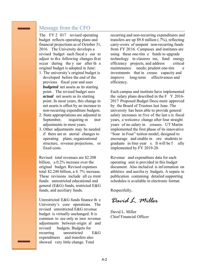### Message from the CFO

The FY 2 017 revised operating budget reflects operating plans and financial projections as of October 31, 2016. The University develops a revised budget each fiscal y ear to adjust to th e following changes th at occur during the y ear after th e original budget is adopted in June:

- 1. The university's original budget is developed before the end of the previous fiscal year and uses *budgeted* net assets as its starting point. The revised budget uses *actual* net assets as its starting point. In most years, this change in net assets is offset by an increase to non-recurring expenditure budgets.
- 2. State appropriations are adjusted in September, requiring m inor adjustments in most years.
- 3. Other adjustments may be needed if there are m aterial changes to operating plans, organizational structure, revenue projections, or fixed costs.

Revised total revenues are \$2.208 billion, a 0.2% increase over the original budget. Revised expenses total \$2.240 billion, a 4. 7% increase. These revisions include all cu rrent funds: unrestricted educational and general (E&G) funds, restricted E&G funds, and auxiliary funds.

Unrestricted E&G funds finance th e University's core operations. The revised unrestricted E&G revenue budget is virtually unchanged. It is common to see only m inor revenue adjustments between origin al and revised budgets. Budgets for recurring unrestricted E&G expenditures and transfers also showed very little change. Total

recurring and non-recurring expenditures and transfers are up \$9.8 million (.7%), reflecting carry-overs of unspent non-recurring funds from FY 2016. Campuses and institutes are using these one-tim e funds to upgrade technology in classroo ms, fund energy efficiency projects, and address critical maintenance needs; prudent one-tim e investments that in crease capacity and improve long-term effectiveness and efficiency.

Each campus and institute have implemented the salary plans described in the F Y 2016- 2017 Proposed Budget Docu ment approved by the Board of Trustees last June. The university has been able to provide general salary increases in five of the last s ix fiscal years, a welcome change after four straight years of no salary in creases. UT Martin implemented the first phase of its innovative "Soar in Four" tuition model, designed to encourage and enable m ore students to graduate in four year s. It will be f ully implemented by FY 2019-20.

Revenue and expenditure data for each operating unit is provided in this budget document. Also includ ed is inf ormation on athletics and auxilia ry budgets. A separa te publication containing detailed supporting schedules is available in electronic format.

Respectfully,

David 1. Miller

David L. Miller Chief Financial Officer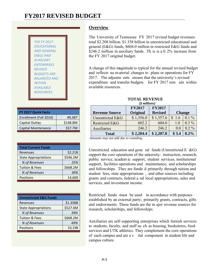| <b>THE FY 2017</b>  |
|---------------------|
| <b>FDUCATIONAL</b>  |
| <b>AND GENERAL</b>  |
| (E&G) AND           |
| <b>AUXILIARY</b>    |
| <b>FNTFRPRISES</b>  |
| <b>RFVISFD</b>      |
| <b>BUDGETS ARE</b>  |
| <b>BALANCED AND</b> |
| <i>WITHIN</i>       |
| <b>AVAII ARIF</b>   |
| <b>RESOURCES.</b>   |
|                     |

| FY 2017 Quick Facts        |          |
|----------------------------|----------|
| Enrollment (Fall 2016)     | 49,387   |
| Capital Outlay             | \$148.8M |
| <b>Capital Maintenance</b> | \$57.7M  |

| <b>Total Current Funds</b>  |          |
|-----------------------------|----------|
| Revenues                    | \$2.21B  |
| <b>State Appropriations</b> | \$546.2M |
| % of Revenues               | 25%      |
| <b>Tuition &amp; Fees</b>   | \$668.2M |
| % of Revenues               | 30%      |
| Positions                   | 14,600   |
|                             |          |

| <b>Unrestricted E&amp;G Funds</b> |          |
|-----------------------------------|----------|
| Revenues                          | \$1.358B |
| <b>State Appropriations</b>       | \$527.6M |
| % of Revenues                     | 39%      |
| <b>Tuition &amp; Fees</b>         | \$668.2M |
| % of Revenues                     | 49%      |
| <b>Positions</b>                  | 10,198   |
|                                   |          |

### **Overview**

The University of Tennessee FY 2017 revised budget revenues total \$2.208 billion: \$1.358 billion in unrestricted educational and general (E&G) funds, \$604.0 million in restricted E&G funds and \$246.2 million in auxiliary funds. Th is is a 0.2% increase from the FY 2017 original budget.

A change of this magnitude is typical for the annual revised budget and reflects no m aterial changes to plans or operations for FY 2017. The adjustm ents ensure that the university's revised expenditure and transfer budgets for FY 2017 rem ain within available resources.

|                       | <b>FY2017</b>   | <b>FY2017</b>  |       |               |
|-----------------------|-----------------|----------------|-------|---------------|
| <b>Revenue Source</b> | <b>Original</b> | <b>Revised</b> |       | <b>Change</b> |
| Unrestricted E&G      | \$1,356.0       | \$1,357.6      | 1.6   | $0.1\%$       |
| Restricted E&G        | 602.2           | 604.0          | 1.8   | $0.3\%$       |
| Auxiliaries           | 246.2           | 246.2          | 0.0   | $0.2\%$       |
| <b>Total</b>          | \$2,204.4       | \$2,207.8      | \$3.4 | $0.2\%$       |

#### **TOTAL REVENUE (***\$ millions***)**

 *Amounts may not add due to rounding.* 

Unrestricted education and gene ral funds (Unrestricted E  $\&$ G) support the core operations of the university: instruction, research, public service, academ ic support, student services, institutional support, facilities operations and maintenance, and scholarships and fellowships. They are funde d primarily through tuition and student fees, state appropriations , and other sources including grants and contracts, federal a nd local appropriations, sales and services, and investment income.

Restricted funds must be used in accordance with purposes established by an external party; primarily grants, contracts, gifts and endowments. These funds are the m ajor revenue sources for research, scholarships, and fellowships.

Auxiliaries are self-supporting enterprises which furnish services to students, faculty, and staff su ch as housing, bookstores, food services and UTK athletics. They complement the core operations of each campus and are a v ital component in student life and campus culture.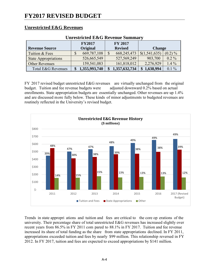#### **Unrestricted E&G Revenues**

| UIII esti icteu Exec Revenue Summai v |               |               |  |                |                |            |  |  |
|---------------------------------------|---------------|---------------|--|----------------|----------------|------------|--|--|
|                                       | <b>FY2017</b> |               |  |                | <b>FY 2017</b> |            |  |  |
| <b>Revenue Source</b>                 |               | Original      |  | <b>Revised</b> | <b>Change</b>  |            |  |  |
| Tuition & Fees                        |               | 669,787,108   |  | 668, 245, 473  | \$(1,541,635)  | $(0.2) \%$ |  |  |
| <b>State Appropriations</b>           |               | 526,665,549   |  | 527,569,249    | 903,700        | $0.2\%$    |  |  |
| <b>Other Revenues</b>                 |               | 159,541,083   |  | 161,818,012    | 2,276,929      | $1.4\%$    |  |  |
| Total E&G Revenues                    |               | 1,355,993,740 |  | 1,357,632,734  | \$1,638,994    | $0.1\%$    |  |  |

#### **Unrestricted E&G Revenue Summary**

FY 2017 revised budget unrestricted E&G revenues are virtually unchanged from the original budget. Tuition and fee revenue budgets were adjusted downward 0.2% based on actual enrollments. State appropriation budgets are essentially unchanged. Other revenues are up 1.4% and are discussed more fully below. These kinds of minor adjustments to budgeted revenues are routinely reflected in the University's revised budget.



Trends in state appropri ations and tuition and fees are critical to the core op erations of the university. Their percentage share of total unrestricted E&G revenues has increased slightly over recent years from 86.5% in FY 2011 com pared to 88.1% in FY 2017. Tuition and fee revenue increased its share of total funding as the share from state appropriations declined. In FY 2011, appropriations exceeded tuition and fees by nearly \$99 million. This relationship reversed in FY 2012. In FY 2017, tuition and fees are expected to exceed appropriations by \$141 million.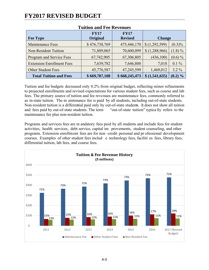| <b>Fee Type</b>                  | <b>FY17</b><br>Original | <b>FY17</b><br><b>Revised</b> | <b>Change</b> |            |
|----------------------------------|-------------------------|-------------------------------|---------------|------------|
| Maintenance Fees                 | \$476,738,769           | 475,446,170                   | \$(1,292,599) | $(0.3)\%$  |
| <b>Non-Resident Tuition</b>      | 71,889,065              | 70,600,099                    | \$(1,288,966) | $(1.8) \%$ |
| Program and Service Fees         | 67,742,905              | 67,306,805                    | (436,100)     | $(0.6) \%$ |
| <b>Extension Enrollment Fees</b> | 7,639,782               | 7,646,800                     | 7,018         | $0.1\%$    |
| <b>Other Student Fees</b>        | 45,776,587              | 47,245,599                    | 1,469,012     | $3.2\%$    |
| <b>Total Tuition and Fees</b>    | \$669,787,108           | \$668,245,473                 | \$(1,541,635) | $(0.2) \%$ |

#### **Tuition and Fee Revenues**

Tuition and fee budgets decreased only 0.2% from original budget, reflecting minor refinements to projected enrollments and revised expectations for various student fees, such as course and lab fees. The primary source of tuition and fee revenues are maintenance fees, commonly referred to as in-state tuition. The m aintenance fee is paid by all students, including out-of-state students. Non-resident tuition is a differential paid only by out-of-state students. It does not show all tuition and fees paid by out-of-state students. The term "out-of-state tuition" typica lly refers to the maintenance fee plus non-resident tuition.

Programs and services fees are m andatory fees paid by all students and include fees for student activities, health services, debt service, capital im provements, student counseling, and other programs. Extension enrollment fees are for non -credit personal and pr ofessional development courses. Examples of other student fees includ e technology fees, faciliti es fees, library fees, differential tuition, lab fees, and course fees.

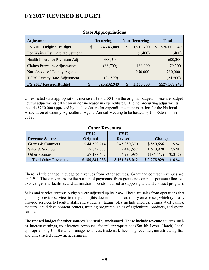| <b>Adjustments</b>                 | <b>Recurring</b> |             | <b>Non-Recurring</b> |           | <b>Total</b> |               |
|------------------------------------|------------------|-------------|----------------------|-----------|--------------|---------------|
| FY 2017 Original Budget            | \$               | 524,745,849 | \$                   | 1,919,700 |              | 526,665,549   |
| Fee Waiver Estimate Adjustment     |                  |             |                      | (1,400)   |              | (1,400)       |
| Health Insurance Premium Adj.      |                  | 600,300     |                      |           |              | 600,300       |
| <b>Claims Premium Adjustments</b>  |                  | (88,700)    |                      | 168,000   |              | 79,300        |
| Nat. Assoc. of County Agents       |                  |             |                      | 250,000   |              | 250,000       |
| <b>TCRS Legacy Rate Adjustment</b> |                  | (24, 500)   |                      |           |              | (24, 500)     |
| FY 2017 Revised Budget             | \$               | 525,232,949 | \$                   | 2,336,300 |              | \$527,569,249 |

#### **State Appropriations**

Unrestricted state appropriations increased \$903,700 from the original budget. These are budgetneutral adjustments offset by minor increases in expenditures. The non-recurring adjustments include \$250,000 approved by the legislature for expenditures in preparation for the National Association of County Agricultural Agents Annual Meeting to be hosted by UT Extension in 2018.

#### **Other Revenues**

|                             | <b>FY17</b>     | <b>FY17</b>    |               |            |
|-----------------------------|-----------------|----------------|---------------|------------|
| <b>Revenue Source</b>       | <b>Original</b> | <b>Revised</b> | <b>Change</b> |            |
| Grants & Contracts          | \$44,529,714    | \$45,380,370   | \$850,656     | $1.9\%$    |
| Sales & Services            | 57,832,737      | 59,443,657     | 1,610,920     | $2.8\%$    |
| <b>Other Sources</b>        | 57,178,632      | 56,993,985     | (184, 647)    | $(0.3) \%$ |
| <b>Total Other Revenues</b> | \$159,541,083   | \$161,818,012  | \$2,276,929   | $1.4\%$    |

There is little change in budgeted revenues from other sources. Grant and contract revenues are up 1.9%. These revenues are the portion of payments from grant and contract sponsors allocated to cover general facilities and administration costs incurred to support grant and contract programs.

Sales and service revenue budgets were adjusted up by 2.8%. These are sales from operations that generally provide services to the public (this does not include auxiliary enterprises, which typically provide services to faculty, staff, and students). Exam ples include medical clinics, 4-H camps, theaters, child development centers, training programs, sales of agricultural products, and sports camps.

The revised budget for other sources is virtually unchanged. These include revenue sources such as interest earnings, co nference revenues, federal appropriations (Sm ith-Lever, Hatch), local appropriations, UT-Battelle management fees, tr ademark licensing revenues, unrestricted gifts, and unrestricted endowment earnings.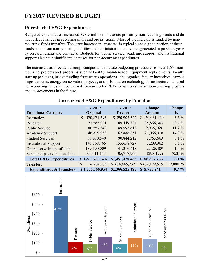### **Unrestricted E&G Expenditures**

Budgeted expenditures increased \$98.9 million. These are primarily non-recurring funds and do not reflect changes in recurring plans and opera tions. Most of the increase is funded by nonrecurring funds transfers. The large increase in research is typical since a good portion of these funds come from non-recurring facilities and administration recoveries generated in previous years by research grants and contracts. Budgets for public service, academic support, and institutional support also have significant increases for non-recurring expenditures.

The increase was allocated through campus and institute budgeting procedures to over 1,651 nonrecurring projects and programs such as facility maintenance, equipment replacements, faculty start-up packages, bridge funding for research operations, lab upgrades, faculty incentives, campus improvements, energy conservation projects, and information technology infrastructure. Unused non-recurring funds will be carried forward to FY 2018 for use on similar non-recurring projects and improvements in the future.

| <b>Functional Category</b>          | <b>FY 2017</b><br><b>Original</b> | <b>FY 2017</b><br><b>Revised</b> | <b>Change</b><br><b>Amount</b> | <b>Change</b><br>$\frac{6}{9}$ |
|-------------------------------------|-----------------------------------|----------------------------------|--------------------------------|--------------------------------|
| Instruction                         | 570,871,393<br>$\mathbb{S}$       | \$590,903,322                    | 20,031,929<br>$\mathbb{S}$     | $3.5\%$                        |
| Research                            | 73,583,021                        | 109,449,324                      | 35,866,303                     | 48.7%                          |
| <b>Public Service</b>               | 80,557,849                        | 89,593,618                       | 9,035,769                      | $11.2\%$                       |
| Academic Support                    | 146,819,933                       | 167,886,851                      | 21,066,918                     | 14.3 %                         |
| <b>Student Services</b>             | 88,080,549                        | 90,844,212                       | 2,763,663                      | $3.1\%$                        |
| <b>Institutional Support</b>        | 147,368,765                       | 155,658,727                      | 8,289,962                      | $5.6\%$                        |
| Operation & Maint of Plant          | 139,190,009                       | 141,316,418                      | 2,126,409                      | $1.5\%$                        |
| Scholarships and Fellowships        | 106,011,157                       | 105,717,960                      | (293, 197)                     | $(0.3)\%$                      |
| <b>Total E&amp;G Expenditures</b>   | \$1,352,482,676                   | \$1,451,370,432                  | \$98,887,756                   | $7.3\%$                        |
| Transfers                           | 4,284,278<br>S                    | (84, 845, 237)<br>$\mathbb{S}$   | \$ (89,129,515)                | $(2,080)\%$                    |
| <b>Expenditures &amp; Transfers</b> | \$1,356,766,954                   | \$1,366,525,195                  | 9,758,241<br>$\mathbf{\$}$     | $0.7\%$                        |

### **Unrestricted E&G Expenditures by Function**

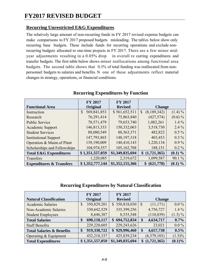### **Recurring Unrestricted E&G Expenditures**

The relatively large amount of non-recurring funds in FY 2017 revised expense budgets can make comparisons to FY 2017 proposed budgets misleading. The tables below show only recurring base budgets. These include funds for recurring operations and exclude nonrecurring budgets allocated to one-time projects in FY 2017. There are a few minor midyear adjustments resulting in a 0.05% drop in overall re curring expenditures and transfer budgets. The first table below shows minor reallocations among functional area budgets. The second table shows that 0.3% of total funding was reallocated from nonpersonnel budgets to salaries and benefits. N one of these adjustments reflect material changes in strategy, operations, or financial conditions.

|                                     | <b>FY 2017</b>              | <b>FY 2017</b>  |                             |            |
|-------------------------------------|-----------------------------|-----------------|-----------------------------|------------|
| <b>Functional Area</b>              | Original                    | <b>Revised</b>  | <b>Change</b>               |            |
| Instruction                         | 569,841,853<br>$\mathbb{S}$ | \$561,652,511   | (8,189,342)<br>$\mathbb{S}$ | $(1.4)\%$  |
| Research                            | 76,291,414                  | 75,863,840      | (427,574)                   | $(0.6)\%$  |
| <b>Public Service</b>               | 78,571,479                  | 79,653,740      | 1,082,261                   | $1.4\%$    |
| Academic Support                    | 146,813,333                 | 150,332,063     | 3,518,730                   | $2.4\%$    |
| <b>Student Services</b>             | 88,080,549                  | 88, 563, 371    | 482,822                     | $0.5\%$    |
| <b>Institutional Support</b>        | 147,793,865                 | 148, 197, 318   | 403,453                     | $0.3\%$    |
| Operation & Maint of Plant          | 139,190,009                 | 140,410,143     | 1,220,134                   | $0.9\%$    |
| Scholarships and Fellowships        | 104,974,557                 | 105,162,708     | 188,151                     | $0.2\%$    |
| <b>Total E&amp;G Expenditures</b>   | \$1,351,557,059             | \$1,349,835,694 | \$(1,721,365)               | $(0.1) \%$ |
| Transfers                           | 1,220,085                   | 2,319,672       | 1,099,587                   | 90.1 %     |
| <b>Expenditures &amp; Transfers</b> | \$1,352,777,144             | \$1,352,155,366 | \$ (621,778)                | $(0.1) \%$ |

#### **Recurring Expenditures by Function**

#### **Recurring Expenditures by Natural Classification**

|                                      | <b>FY 2017</b> |                 | <b>FY 2017</b>  |               |               |           |
|--------------------------------------|----------------|-----------------|-----------------|---------------|---------------|-----------|
| <b>Natural Classification</b>        |                | Original        | <b>Revised</b>  |               | <b>Change</b> |           |
| <b>Academic Salaries</b>             | \$             | 350,829,201     | \$350,818,030   | $\mathcal{S}$ | (11, 171)     | $0.0\%$   |
| Non-Academic Salaries                |                | 330,642,529     | 335, 399, 256   |               | 4,756,727     | $1.4\%$   |
| <b>Student Employees</b>             |                | 8,646,387       | 8,535,548       |               | (110, 839)    | $(1.3)\%$ |
| <b>Total Salaries</b>                | \$             | 690,118,117     | \$694,752,834   | \$            | 4,634,717     | 0.7%      |
| <b>Staff Benefits</b>                |                | 229,220,605     | 229, 243, 626   |               | 23,021        | $0.0\%$   |
| <b>Total Salaries &amp; Benefits</b> | \$             | 919,338,722     | \$929,996,460   | \$            | 4,657,738     | $0.5\%$   |
| Operating & Equipment                |                | 432,218,337     | 425,839,234     |               | (6,379,103)   | $(1.5)\%$ |
| <b>Total Expenditures</b>            |                | \$1,351,557,059 | \$1,349,835,694 | \$            | (1,721,365)   | $(0.1)\%$ |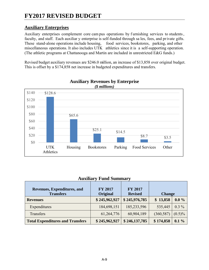### **Auxiliary Enterprises**

Auxiliary enterprises complement core cam pus operations by furnishing services to students, faculty, and staff. Each auxiliar y enterprise is self-funded through sa les, fees, and pr ivate gifts. These stand-alone operations include housing, food services, bookstores, parking, and other miscellaneous operations. It also includes UTK athletics since it is a self-supporting operation. (The athletic programs at Chattanooga and Martin are included in unrestricted E&G funds.)

Revised budget auxiliary revenues are \$246.0 million, an increase of \$13,858 over original budget. This is offset by a \$174,858 net increase in budgeted expenditures and transfers.



# **Auxiliary Revenues by Enterprise**

#### **Auxiliary Fund Summary**

| Revenues, Expenditures, and<br><b>Transfers</b> | <b>FY 2017</b><br>Original | <b>FY 2017</b><br><b>Revised</b> | <b>Change</b> |           |  |  |
|-------------------------------------------------|----------------------------|----------------------------------|---------------|-----------|--|--|
| <b>Revenues</b>                                 | \$245,962,927              | \$245,976,785                    | \$13,858      | $0.0\%$   |  |  |
| Expenditures                                    | 184,698,151                | 185,233,596                      | 535,445       | $0.3\%$   |  |  |
| Transfers                                       | 61,264,776                 | 60,904,189                       | (360, 587)    | $(0.5)\%$ |  |  |
| <b>Total Expenditures and Transfers</b>         | \$245,962,927              | \$246,137,785                    | \$174,858     | $0.1\%$   |  |  |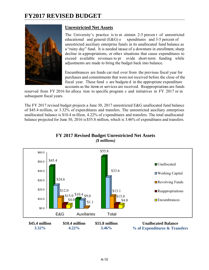

#### **Unrestricted Net Assets**

The University's practice is to m aintain 2-5 percen t of unrestricted educational and general (E&G) e xpenditures and 3-5 percent of unrestricted auxiliary enterprise funds in its unallocated fund balance as a "rainy day" fund. It is needed imase of a downturn in enrollment, sharp decline in appropriations, or other situations that cause expenditures to exceed available revenues to pr ovide short-term funding while adjustments are made to bring the budget back into balance.

Encumbrances are funds car ried over from the previous fiscal year for purchases and commitments that were not received before the close of the fiscal year. These fund s are budgete d in the appropriate expenditure accounts as the items or services are received. Reappropriations are funds

reserved from FY 2016 for alloca tion to specific program s and initiatives in FY 2017 or in subsequent fiscal years.

The FY 2017 revised budget projects a June 30, 2017 unrestricted E&G unallocated fund balance of \$45.4 million, or 3.32% of expenditures and transfers. The unrestricted auxiliary enterprises unallocated balance is \$10.4 m illion, 4.22% of expenditures and transfers. The total unallocated balance projected for June 30, 2016 is \$55.8 million, which is 3.46% of expenditures and transfers.



#### **FY 2017 Revised Budget Unrestricted Net Assets**  *(\$ millions)*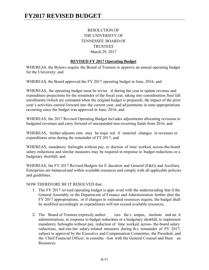#### RESOLUTION OF THE UNIVERSITY OF TENNESSEE BOARD OF TRUSTEES March 29, 2017

#### **REVISED FY 2017 Operating Budget**

WHEREAS, the Bylaws require the Board of Trustees to approve an annual operating budget for the University; and

WHEREAS, the Board approved the FY 2017 operating budget in June, 2016; and

WHEREAS, the operating budget must be revise d during the year to update revenue and expenditure projections for the remainder of the fiscal year, taking into consideration final fall enrollments (which are estimated when the original budget is prepared), the impact of the prior year's activities carried forward into the current year, and ad justments in state appropriations occurring since the budget was approved in June, 2016; and

WHEREAS, the 2017 Revised Operating Budget incl udes adjustments allocating revisions to budgeted revenues and carry forward of unexpended non-recurring funds from 2016; and

WHEREAS, further adjustm ents may be requi red if material changes in revenues or expenditures arise during the remainder of FT 2017; and

WHEREAS, mandatory furloughs without pay, re duction of time worked, across-the-board salary reductions and similar measures may be required in response to budget reductions or a budgetary shortfall; and

WHEREAS, the FY 2017 Revised Budgets for E ducation and General (E&G) and Auxiliary Enterprises are balanced and within available resources and comply with all applicable policies and guidelines;

#### NOW THEREFORE BE IT RESOLVED that:

- 1. The FY 2017 revised operating budget is appr oved with the understanding that if the General Assembly or the Departm ent of Finance and Administration further alter the FY 2017 appropriations, or if changes in estimated resources require, the budget shall be modified accordingly so expenditures will not exceed available resources.
- 2. The Board of Trustees expressly author izes the c ampus, institute and un it administrations, in response to budget reductions or a budgetary shortfall, to implement mandatory furloughs without pay, reduction of time worked, across- the-board salary reductions, and sim ilar salary-related measures during th e remainder of FY 2017, subject to approval by the Executive and Compensation Committee, the President, and the Chief Financial Officer, in consulta tion with the General Counsel and Hum an Resources.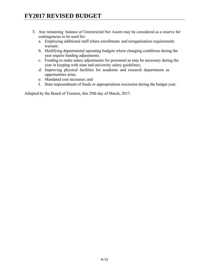- 3. Any remaining balance of Unrestricted Net Assets may be considered as a reserve for contingencies to be used for:
	- a. Employing additional staff where enrollments and reorganization requirements warrant;
	- b. Modifying departmental operating budgets where changing conditions during the year require funding adjustments;
	- c. Funding to make salary adjustments for personnel as may be necessary during the year in keeping with state and university salary guidelines;
	- d. Improving physical facilities for academic and research departments as opportunities arise;
	- e. Mandated cost increases; and
	- f. State impoundment of funds or appropriations rescission during the budget year.

Adopted by the Board of Trustees, this 29th day of March, 2017.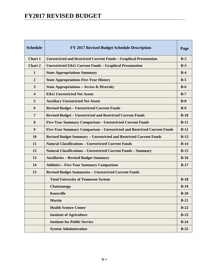| <b>Schedule</b>         | FY 2017 Revised Budget Schedule Description                               | Page   |
|-------------------------|---------------------------------------------------------------------------|--------|
| <b>Chart 1</b>          | <b>Unrestricted and Restricted Current Funds - Graphical Presentation</b> | $B-2$  |
| Chart 2                 | <b>Unrestricted E&amp;G Current Funds - Graphical Presentation</b>        | $B-3$  |
| $\mathbf{1}$            | <b>State Appropriations Summary</b>                                       | $B-4$  |
| $\overline{2}$          | <b>State Appropriations Five-Year History</b>                             | $B-5$  |
| $\mathbf{3}$            | <b>State Appropriations - Access &amp; Diversity</b>                      | $B-6$  |
| $\overline{\mathbf{4}}$ | <b>E&amp;G Unrestricted Net Assets</b>                                    | $B-7$  |
| 5                       | <b>Auxiliary Unrestricted Net Assets</b>                                  | $B-8$  |
| 6                       | <b>Revised Budget - Unrestricted Current Funds</b>                        | $B-9$  |
| $\overline{7}$          | <b>Revised Budget - Unrestricted and Restricted Current Funds</b>         | $B-10$ |
| 8                       | Five-Year Summary Comparison - Unrestricted Current Funds                 | $B-11$ |
| 9                       | Five-Year Summary Comparison - Unrestricted and Restricted Current Funds  | $B-12$ |
| 10                      | <b>Revised Budget Summary - Unrestricted and Restricted Current Funds</b> | $B-13$ |
| 11                      | <b>Natural Classifications - Unrestricted Current Funds</b>               | $B-14$ |
| 12                      | <b>Natural Classifications - Unrestricted Current Funds - Summary</b>     | $B-15$ |
| 13                      | <b>Auxiliaries - Revised Budget Summary</b>                               | $B-16$ |
| 14                      | <b>Athletics - Five-Year Summary Comparison</b>                           | $B-17$ |
| 15                      | <b>Revised Budget Summaries - Unrestricted Current Funds</b>              |        |
|                         | <b>Total University of Tennessee System</b>                               | $B-18$ |
|                         | Chattanooga                                                               | $B-19$ |
|                         | <b>Knoxville</b>                                                          | $B-20$ |
|                         | <b>Martin</b>                                                             | $B-21$ |
|                         | <b>Health Science Center</b>                                              | $B-22$ |
|                         | <b>Institute of Agriculture</b>                                           | $B-23$ |
|                         | <b>Institute for Public Service</b>                                       | $B-24$ |
|                         | <b>System Administration</b>                                              | $B-25$ |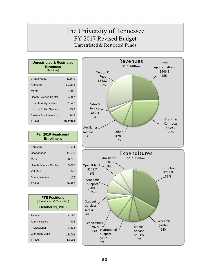### The University of Tennessee FY 2017 Revised Budget Unrestricted & Restricted Funds

| <b>Unrestricted &amp; Restricted</b><br><b>Revenues</b><br>(\$millions) |           |  |  |  |  |  |  |  |
|-------------------------------------------------------------------------|-----------|--|--|--|--|--|--|--|
| Chattanooga                                                             | \$226.0   |  |  |  |  |  |  |  |
| Knoxville                                                               | 1,128.3   |  |  |  |  |  |  |  |
| Martin                                                                  | 140.1     |  |  |  |  |  |  |  |
| <b>Health Science Center</b>                                            | 480.7     |  |  |  |  |  |  |  |
| Institute of Agriculture                                                | 184.2     |  |  |  |  |  |  |  |
| Inst. for Public Service                                                | 23.9      |  |  |  |  |  |  |  |
| <b>System Administration</b>                                            | 24.8      |  |  |  |  |  |  |  |
| TOTAI                                                                   | \$2,208.0 |  |  |  |  |  |  |  |

#### **Fall 2016 Headcount Enrollment**

| Knoxville                    | 27.594 |
|------------------------------|--------|
| Chattanooga                  | 11,533 |
| Martin                       | 6.705  |
| <b>Health Science Center</b> | 3,097  |
| Vet Med                      | 345    |
| Space Institute              | 113    |
| <b>TOTAL</b>                 | 49,387 |
|                              |        |

| <b>FTE Positions</b><br>(Unrestricted & Restricted) |        |  |  |  |  |  |  |
|-----------------------------------------------------|--------|--|--|--|--|--|--|
| <b>October 31, 2016</b>                             |        |  |  |  |  |  |  |
| Faculty                                             | 4.180  |  |  |  |  |  |  |
| Administrative                                      | 926    |  |  |  |  |  |  |
| Professional                                        | 3.695  |  |  |  |  |  |  |
| Cler/Tech/Maint                                     | 5,799  |  |  |  |  |  |  |
| TOTAL                                               | 14,600 |  |  |  |  |  |  |



Public Service \$151.5 7%

Research \$286.9 13%

Institutional Support \$157.5 7%

Scholarships \$282.9 13%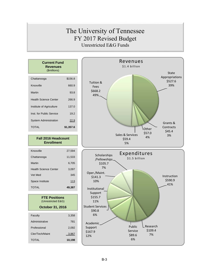# The University of Tennessee FY 2017 Revised Budget Unrestricted E&G Funds

| <b>Current Fund</b><br>Revenues<br>(\$millions) |           |
|-------------------------------------------------|-----------|
| Chattanooga                                     | \$156.8   |
| Knoxville                                       | 660.9     |
| Martin                                          | 93.8      |
| <b>Health Science Center</b>                    | 266.9     |
| Institute of Agriculture                        | 137.0     |
| Inst. for Public Service                        | 19.2      |
| <b>System Administration</b>                    | 22.9      |
| TOTAL                                           | \$1,357.6 |

#### **Fall 2016 Headcount Enrollment**

| Knoxville                    | 27,594 |
|------------------------------|--------|
| Chattanooga                  | 11,533 |
| Martin                       | 6,705  |
| <b>Health Science Center</b> | 3.097  |
| Vet Med                      | 345    |
| Space Institute              | 113    |
| <b>TOTAL</b>                 | 49,387 |

| <b>FTE Positions</b><br>(Unrestricted E&G) |        |  |  |  |  |  |  |  |
|--------------------------------------------|--------|--|--|--|--|--|--|--|
| October 31, 2016                           |        |  |  |  |  |  |  |  |
| Faculty                                    | 3.358  |  |  |  |  |  |  |  |
| Administrative                             | 781    |  |  |  |  |  |  |  |
| Professional                               | 2.092  |  |  |  |  |  |  |  |
| Cler/Tech/Maint                            | 3.967  |  |  |  |  |  |  |  |
| TOTAI                                      | 10,198 |  |  |  |  |  |  |  |



Research \$109.4 7%

Public Service \$89.6 6%

Academic Support \$167.9 12%

\$90.8 6%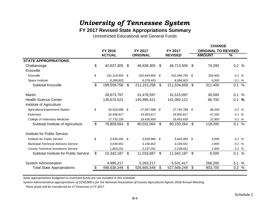### **FY 2017 Revised State Appropriations Summary**

Unrestricted Educational and General Funds

|                                              |                |               |                      |                |                | <b>CHANGE</b> |                            |               |               |  |  |  |  |
|----------------------------------------------|----------------|---------------|----------------------|----------------|----------------|---------------|----------------------------|---------------|---------------|--|--|--|--|
|                                              |                | FY 2016       | FY 2017              | FY 2017        |                |               | <b>ORIGINAL TO REVISED</b> |               |               |  |  |  |  |
|                                              |                | <b>ACTUAL</b> | <b>ORIGINAL</b>      |                | <b>REVISED</b> |               | <b>AMOUNT</b>              | $\frac{0}{6}$ |               |  |  |  |  |
| <b>STATE APPROPRIATIONS</b>                  |                |               |                      |                |                |               |                            |               |               |  |  |  |  |
| Chattanooga                                  | \$             | 42,637,305    | \$<br>46,639,305     | $\mathfrak{S}$ | 46,713,505     | -S            | 74,200                     | 0.2 %         |               |  |  |  |  |
| Knoxville                                    |                |               |                      |                |                |               |                            |               |               |  |  |  |  |
| Knoxville                                    | \$             | 191,219,955   | \$<br>202,644,855 \$ |                | 202,949,755 \$ |               | 304,900                    | 0.2 %         |               |  |  |  |  |
| Space Institute                              |                | 8,289,803     | 8,578,403            |                | 8,584,903      |               | 6.500                      | $0.1 \%$      |               |  |  |  |  |
| <b>Subtotal Knoxville</b>                    | \$             | 199,509,758   | \$<br>211,223,258    | $\mathfrak{S}$ | 211,534,658    | \$            | 311,400                    | 0.1           | $\frac{0}{0}$ |  |  |  |  |
| Martin                                       |                | 28,673,797    | 31,478,597           |                | 31,515,097     |               | 36,500                     | 0.1           | %             |  |  |  |  |
| <b>Health Science Center</b>                 |                | 135,670,521   | 140,995,421          |                | 141,082,121    |               | 86,700                     | 0.1           | $\%$          |  |  |  |  |
| Institute of Agriculture                     |                |               |                      |                |                |               |                            |               |               |  |  |  |  |
| <b>Agricultural Experiment Station</b>       | \$             | 26,529,588    | \$<br>27,697,588 \$  |                | 27,745,788 \$  |               | 48,200                     | 0.2 %         |               |  |  |  |  |
| Extension                                    |                | 32,546,817    | 33,903,617           |                | 33,950,817     |               | 47,200                     | $0.1 \%$      |               |  |  |  |  |
| College of Veterinary Medicine               |                | 17,733,159    | 18,430,859           |                | 18,453,659     |               | 22,800                     | $0.1 \%$      |               |  |  |  |  |
| Subtotal Institute of Agriculture            | \$             | 76,809,564    | \$<br>80,032,064     | $\mathfrak{L}$ | 80,150,264     | \$            | 118,200                    | 0.1           | $\frac{0}{0}$ |  |  |  |  |
| Institute for Public Service                 |                |               |                      |                |                |               |                            |               |               |  |  |  |  |
| Institute for Public Service                 | \$             | 5,439,285 \$  | 5,639,985 \$         |                | 5.643.985 \$   |               | 4.000                      | $0.1 \%$      |               |  |  |  |  |
| <b>Municipal Technical Advisory Service</b>  |                | 3,039,651     | 3,156,651            |                | 3, 159, 551    |               | 2,900                      | 0.1 %         |               |  |  |  |  |
| <b>County Technical Assistance Service</b>   |                | 1,863,251     | 2,237,051            |                | 2,238,651      |               | 1,600                      | $0.1 \%$      |               |  |  |  |  |
| <b>Subtotal Institute for Public Service</b> | $\mathfrak{F}$ | 10,342,187    | \$<br>11,033,687     | $\mathfrak{S}$ | 11,042,187 \$  |               | 8,500                      | 0.1           | $\frac{0}{0}$ |  |  |  |  |
| <b>System Administration</b>                 |                | 4,995,217     | 5,263,217            |                | 5,531,417      |               | 268,200                    | 5.1           | %             |  |  |  |  |
| <b>Total State Appropriations</b>            | \$             | 498,638,349   | \$<br>526,665,549    | \$             | 527,569,249    | \$            | 903,700                    | 0.2 %         |               |  |  |  |  |

*State appropriations budgeted to restricted funds are not included in this schedule.*

System Administration appropriations of \$250,000 is for the National Association of County Agricultural Agents 2018 Annual Meeting.

*These funds will be transferred to UT Extension in FY 2017.*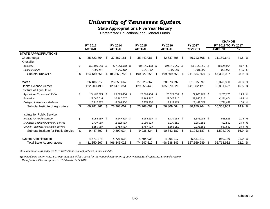#### **State Appropriations Five Year History**

Unrestricted Educational and General Funds

| <b>FY 2017</b><br>FY 2013<br>FY 2014<br>FY 2015<br><b>FY 2016</b><br>FY 2013 TO FY 2017<br><b>ACTUAL</b><br><b>ACTUAL</b><br><b>ACTUAL</b><br><b>ACTUAL</b><br><b>REVISED</b><br>$\frac{9}{6}$<br><b>AMOUNT</b><br><b>STATE APPROPRIATIONS</b><br>\$<br>35,523,864<br>\$<br>42,637,305<br>46,713,505<br>\$<br>11,189,641<br>31.5 %<br>\$<br>37,467,181<br>38,442,081<br>- \$<br>Chattanooga<br>-S<br>Knoxville<br>\$<br>29.7 %<br>Knoxville<br>156,439,550 \$<br>177,568,343 \$<br>182,310,443 \$<br>191,219,955 \$<br>202,949,755 \$<br>46,510,205<br>7,700,101<br>11.5 %<br>Space Institute<br>7,995,412<br>8.012,212<br>8,289,803<br>8,584,903<br>884.802<br>28.9 %<br>\$<br>164,139,651<br>\$<br>185,563,755<br>190,322,655<br>199,509,758<br>211,534,658<br>\$<br>Subtotal Knoxville<br>\$<br>-S<br>47,395,007<br>- \$<br>20.3 %<br>26,186,217<br>26,359,667<br>27,025,867<br>28,673,797<br>31,515,097<br>5,328,880<br>Martin<br><b>Health Science Center</b><br>15.5 %<br>122,200,499<br>141,082,121<br>18,881,622<br>129,470,351<br>129,958,440<br>135,670,521<br>Institute of Agriculture<br>\$<br><b>Agricultural Experiment Station</b><br>24,480,573 \$<br>25,579,486 \$<br>25,698,486 \$<br>26,529,588 \$<br>27,745,788 \$<br>13.3 %<br>3,265,215<br>29,580,016<br>14.8 %<br>Extension<br>30,987,767<br>31,195,267<br>32,546,817<br>33,950,817<br>4,370,801<br>College of Veterinary Medicine<br>15,720,772<br>16,796,354<br>18,453,659<br>17.4 %<br>16,874,254<br>17,733,159<br>2,732,887<br>\$<br>\$<br>Subtotal Institute of Agriculture<br>69,781,361<br>73,768,007<br>\$<br>14.9 %<br>\$.<br>73,363,607<br>- \$<br>76,809,564 \$<br>80,150,264<br>10,368,903<br>Institute for Public Service<br>\$<br>Institute for Public Service<br>5.058.459 \$<br>5.249.898 \$<br>5,265,298 \$<br>5.439.285 \$<br>11.6%<br>5.643.985 \$<br>585.526<br><b>Municipal Technical Advisory Service</b><br>2,737,969<br>2,892,013<br>2,903,313<br>3.039.651<br>3, 159, 551<br>15.4 %<br>421,582<br>County Technical Assistance Service<br>1,758,013<br>1,767,913<br>1.863.251<br>2,238,651<br>35.6 %<br>1,650,969<br>587.682<br>\$<br>Subtotal Institute for Public Service<br>\$<br>16.9 %<br>9,447,397<br>- \$<br>9,899,924 \$<br>9,936,524<br>-\$<br>10,342,187<br>11,042,187<br>1,594,790<br>- \$<br><b>System Administration</b><br>4,571,278<br>4,721,538<br>4,794,038<br>4,995,217<br>960,139<br>21.0 %<br>5,531,417<br>22.2 %<br>431,850,267<br>466,846,023<br>474,247,612<br>498,638,349<br>527,569,249<br>\$<br>95,718,982<br><b>Total State Appropriations</b><br>\$<br>-S |  |  |  |  |  |  | <b>CHANGE</b> |  |
|--------------------------------------------------------------------------------------------------------------------------------------------------------------------------------------------------------------------------------------------------------------------------------------------------------------------------------------------------------------------------------------------------------------------------------------------------------------------------------------------------------------------------------------------------------------------------------------------------------------------------------------------------------------------------------------------------------------------------------------------------------------------------------------------------------------------------------------------------------------------------------------------------------------------------------------------------------------------------------------------------------------------------------------------------------------------------------------------------------------------------------------------------------------------------------------------------------------------------------------------------------------------------------------------------------------------------------------------------------------------------------------------------------------------------------------------------------------------------------------------------------------------------------------------------------------------------------------------------------------------------------------------------------------------------------------------------------------------------------------------------------------------------------------------------------------------------------------------------------------------------------------------------------------------------------------------------------------------------------------------------------------------------------------------------------------------------------------------------------------------------------------------------------------------------------------------------------------------------------------------------------------------------------------------------------------------------------------------------------------------------------------------------------------------------------------------------------------------------------------------------------------------------------------------------------------------------------------|--|--|--|--|--|--|---------------|--|
|                                                                                                                                                                                                                                                                                                                                                                                                                                                                                                                                                                                                                                                                                                                                                                                                                                                                                                                                                                                                                                                                                                                                                                                                                                                                                                                                                                                                                                                                                                                                                                                                                                                                                                                                                                                                                                                                                                                                                                                                                                                                                                                                                                                                                                                                                                                                                                                                                                                                                                                                                                                      |  |  |  |  |  |  |               |  |
|                                                                                                                                                                                                                                                                                                                                                                                                                                                                                                                                                                                                                                                                                                                                                                                                                                                                                                                                                                                                                                                                                                                                                                                                                                                                                                                                                                                                                                                                                                                                                                                                                                                                                                                                                                                                                                                                                                                                                                                                                                                                                                                                                                                                                                                                                                                                                                                                                                                                                                                                                                                      |  |  |  |  |  |  |               |  |
|                                                                                                                                                                                                                                                                                                                                                                                                                                                                                                                                                                                                                                                                                                                                                                                                                                                                                                                                                                                                                                                                                                                                                                                                                                                                                                                                                                                                                                                                                                                                                                                                                                                                                                                                                                                                                                                                                                                                                                                                                                                                                                                                                                                                                                                                                                                                                                                                                                                                                                                                                                                      |  |  |  |  |  |  |               |  |
|                                                                                                                                                                                                                                                                                                                                                                                                                                                                                                                                                                                                                                                                                                                                                                                                                                                                                                                                                                                                                                                                                                                                                                                                                                                                                                                                                                                                                                                                                                                                                                                                                                                                                                                                                                                                                                                                                                                                                                                                                                                                                                                                                                                                                                                                                                                                                                                                                                                                                                                                                                                      |  |  |  |  |  |  |               |  |
|                                                                                                                                                                                                                                                                                                                                                                                                                                                                                                                                                                                                                                                                                                                                                                                                                                                                                                                                                                                                                                                                                                                                                                                                                                                                                                                                                                                                                                                                                                                                                                                                                                                                                                                                                                                                                                                                                                                                                                                                                                                                                                                                                                                                                                                                                                                                                                                                                                                                                                                                                                                      |  |  |  |  |  |  |               |  |
|                                                                                                                                                                                                                                                                                                                                                                                                                                                                                                                                                                                                                                                                                                                                                                                                                                                                                                                                                                                                                                                                                                                                                                                                                                                                                                                                                                                                                                                                                                                                                                                                                                                                                                                                                                                                                                                                                                                                                                                                                                                                                                                                                                                                                                                                                                                                                                                                                                                                                                                                                                                      |  |  |  |  |  |  |               |  |
|                                                                                                                                                                                                                                                                                                                                                                                                                                                                                                                                                                                                                                                                                                                                                                                                                                                                                                                                                                                                                                                                                                                                                                                                                                                                                                                                                                                                                                                                                                                                                                                                                                                                                                                                                                                                                                                                                                                                                                                                                                                                                                                                                                                                                                                                                                                                                                                                                                                                                                                                                                                      |  |  |  |  |  |  |               |  |
|                                                                                                                                                                                                                                                                                                                                                                                                                                                                                                                                                                                                                                                                                                                                                                                                                                                                                                                                                                                                                                                                                                                                                                                                                                                                                                                                                                                                                                                                                                                                                                                                                                                                                                                                                                                                                                                                                                                                                                                                                                                                                                                                                                                                                                                                                                                                                                                                                                                                                                                                                                                      |  |  |  |  |  |  |               |  |
|                                                                                                                                                                                                                                                                                                                                                                                                                                                                                                                                                                                                                                                                                                                                                                                                                                                                                                                                                                                                                                                                                                                                                                                                                                                                                                                                                                                                                                                                                                                                                                                                                                                                                                                                                                                                                                                                                                                                                                                                                                                                                                                                                                                                                                                                                                                                                                                                                                                                                                                                                                                      |  |  |  |  |  |  |               |  |
|                                                                                                                                                                                                                                                                                                                                                                                                                                                                                                                                                                                                                                                                                                                                                                                                                                                                                                                                                                                                                                                                                                                                                                                                                                                                                                                                                                                                                                                                                                                                                                                                                                                                                                                                                                                                                                                                                                                                                                                                                                                                                                                                                                                                                                                                                                                                                                                                                                                                                                                                                                                      |  |  |  |  |  |  |               |  |
|                                                                                                                                                                                                                                                                                                                                                                                                                                                                                                                                                                                                                                                                                                                                                                                                                                                                                                                                                                                                                                                                                                                                                                                                                                                                                                                                                                                                                                                                                                                                                                                                                                                                                                                                                                                                                                                                                                                                                                                                                                                                                                                                                                                                                                                                                                                                                                                                                                                                                                                                                                                      |  |  |  |  |  |  |               |  |
|                                                                                                                                                                                                                                                                                                                                                                                                                                                                                                                                                                                                                                                                                                                                                                                                                                                                                                                                                                                                                                                                                                                                                                                                                                                                                                                                                                                                                                                                                                                                                                                                                                                                                                                                                                                                                                                                                                                                                                                                                                                                                                                                                                                                                                                                                                                                                                                                                                                                                                                                                                                      |  |  |  |  |  |  |               |  |
|                                                                                                                                                                                                                                                                                                                                                                                                                                                                                                                                                                                                                                                                                                                                                                                                                                                                                                                                                                                                                                                                                                                                                                                                                                                                                                                                                                                                                                                                                                                                                                                                                                                                                                                                                                                                                                                                                                                                                                                                                                                                                                                                                                                                                                                                                                                                                                                                                                                                                                                                                                                      |  |  |  |  |  |  |               |  |
|                                                                                                                                                                                                                                                                                                                                                                                                                                                                                                                                                                                                                                                                                                                                                                                                                                                                                                                                                                                                                                                                                                                                                                                                                                                                                                                                                                                                                                                                                                                                                                                                                                                                                                                                                                                                                                                                                                                                                                                                                                                                                                                                                                                                                                                                                                                                                                                                                                                                                                                                                                                      |  |  |  |  |  |  |               |  |
|                                                                                                                                                                                                                                                                                                                                                                                                                                                                                                                                                                                                                                                                                                                                                                                                                                                                                                                                                                                                                                                                                                                                                                                                                                                                                                                                                                                                                                                                                                                                                                                                                                                                                                                                                                                                                                                                                                                                                                                                                                                                                                                                                                                                                                                                                                                                                                                                                                                                                                                                                                                      |  |  |  |  |  |  |               |  |
|                                                                                                                                                                                                                                                                                                                                                                                                                                                                                                                                                                                                                                                                                                                                                                                                                                                                                                                                                                                                                                                                                                                                                                                                                                                                                                                                                                                                                                                                                                                                                                                                                                                                                                                                                                                                                                                                                                                                                                                                                                                                                                                                                                                                                                                                                                                                                                                                                                                                                                                                                                                      |  |  |  |  |  |  |               |  |
|                                                                                                                                                                                                                                                                                                                                                                                                                                                                                                                                                                                                                                                                                                                                                                                                                                                                                                                                                                                                                                                                                                                                                                                                                                                                                                                                                                                                                                                                                                                                                                                                                                                                                                                                                                                                                                                                                                                                                                                                                                                                                                                                                                                                                                                                                                                                                                                                                                                                                                                                                                                      |  |  |  |  |  |  |               |  |
|                                                                                                                                                                                                                                                                                                                                                                                                                                                                                                                                                                                                                                                                                                                                                                                                                                                                                                                                                                                                                                                                                                                                                                                                                                                                                                                                                                                                                                                                                                                                                                                                                                                                                                                                                                                                                                                                                                                                                                                                                                                                                                                                                                                                                                                                                                                                                                                                                                                                                                                                                                                      |  |  |  |  |  |  |               |  |
|                                                                                                                                                                                                                                                                                                                                                                                                                                                                                                                                                                                                                                                                                                                                                                                                                                                                                                                                                                                                                                                                                                                                                                                                                                                                                                                                                                                                                                                                                                                                                                                                                                                                                                                                                                                                                                                                                                                                                                                                                                                                                                                                                                                                                                                                                                                                                                                                                                                                                                                                                                                      |  |  |  |  |  |  |               |  |
|                                                                                                                                                                                                                                                                                                                                                                                                                                                                                                                                                                                                                                                                                                                                                                                                                                                                                                                                                                                                                                                                                                                                                                                                                                                                                                                                                                                                                                                                                                                                                                                                                                                                                                                                                                                                                                                                                                                                                                                                                                                                                                                                                                                                                                                                                                                                                                                                                                                                                                                                                                                      |  |  |  |  |  |  |               |  |
|                                                                                                                                                                                                                                                                                                                                                                                                                                                                                                                                                                                                                                                                                                                                                                                                                                                                                                                                                                                                                                                                                                                                                                                                                                                                                                                                                                                                                                                                                                                                                                                                                                                                                                                                                                                                                                                                                                                                                                                                                                                                                                                                                                                                                                                                                                                                                                                                                                                                                                                                                                                      |  |  |  |  |  |  |               |  |

*State appropriations budgeted to restricted funds are not included in this schedule.*

System Administration FY2016-17 appropriation of \$250,000 is for the National Association of County Agricultural Agents 2018 Annual Meeting. *These funds will be transferred to UT Extension in FY 2017.*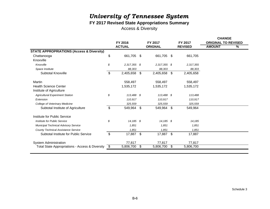### **FY 2017 Revised State Appropriations Summary**

Access & Diversity

|                                                            |                                 |                    |                |               |                |           | <b>CHANGE</b>              |  |  |  |
|------------------------------------------------------------|---------------------------------|--------------------|----------------|---------------|----------------|-----------|----------------------------|--|--|--|
|                                                            |                                 | FY 2017<br>FY 2016 |                |               |                | FY 2017   | <b>ORIGINAL TO REVISED</b> |  |  |  |
|                                                            | <b>ACTUAL</b><br><b>ORIGNAL</b> |                    | <b>REVISED</b> | <b>AMOUNT</b> | %              |           |                            |  |  |  |
| <b>STATE APPROPRIATIONS (Access &amp; Diversity)</b>       |                                 |                    |                |               |                |           |                            |  |  |  |
| Chattanooga                                                | \$                              | 661,705 \$         |                | 661,705       | -\$            | 661,705   |                            |  |  |  |
| Knoxville                                                  |                                 |                    |                |               |                |           |                            |  |  |  |
| Knoxville                                                  | \$                              | $2,317,355$ \$     |                | 2,317,355 \$  |                | 2,317,355 |                            |  |  |  |
| Space Institute                                            |                                 | 88,303             |                | 88,303        |                | 88,303    |                            |  |  |  |
| Subtotal Knoxville                                         | \$                              | 2,405,658 \$       |                | 2,405,658     | $\mathfrak{F}$ | 2,405,658 |                            |  |  |  |
| Martin                                                     |                                 | 558,497            |                | 558,497       |                | 558,497   |                            |  |  |  |
| <b>Health Science Center</b>                               |                                 | 1,535,172          |                | 1,535,172     |                | 1,535,172 |                            |  |  |  |
| Institute of Agriculture                                   |                                 |                    |                |               |                |           |                            |  |  |  |
| <b>Agricultural Experiment Station</b>                     | \$                              | 113,488 \$         |                | 113,488 \$    |                | 113,488   |                            |  |  |  |
| Extension                                                  |                                 | 110,917            |                | 110,917       |                | 110,917   |                            |  |  |  |
| College of Veterinary Medicine                             |                                 | 325,559            |                | 325,559       |                | 325,559   |                            |  |  |  |
| Subtotal Institute of Agriculture                          | \$                              | 549,964            | \$             | 549,964       | \$             | 549,964   |                            |  |  |  |
| Institute for Public Service                               |                                 |                    |                |               |                |           |                            |  |  |  |
| Institute for Public Service                               | \$                              | $14,185$ \$        |                | $14,185$ \$   |                | 14,185    |                            |  |  |  |
| <b>Municipal Technical Advisory Service</b>                |                                 | 1,851              |                | 1,851         |                | 1,851     |                            |  |  |  |
| <b>County Technical Assistance Service</b>                 |                                 | 1,851              |                | 1,851         |                | 1,851     |                            |  |  |  |
| Subtotal Institute for Public Service                      | \$                              | 17,887 \$          |                | 17,887        | \$             | 17,887    |                            |  |  |  |
| <b>System Administration</b>                               |                                 | 77,817             |                | 77,817        |                | 77,817    |                            |  |  |  |
| <b>Total State Appropriations - Access &amp; Diversity</b> | \$                              | 5,806,700          | \$             | 5,806,700     | \$             | 5,806,700 |                            |  |  |  |
|                                                            |                                 |                    |                |               |                |           |                            |  |  |  |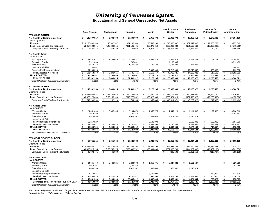**Educational and General Unrestricted Net Assets**

|                                                           |                      |                   |                   |                  |     | <b>Health Science</b> |                           | Institute of       |               | Institute for         |                      | System         |
|-----------------------------------------------------------|----------------------|-------------------|-------------------|------------------|-----|-----------------------|---------------------------|--------------------|---------------|-----------------------|----------------------|----------------|
|                                                           | <b>Total System</b>  | Chattanooga       | Knoxville         | <b>Martin</b>    |     | Center                |                           | <b>Agriculture</b> |               | <b>Public Service</b> |                      | Administration |
| <b>FY 2014-15 ACTUAL</b>                                  |                      |                   |                   |                  |     |                       |                           |                    |               |                       |                      |                |
| Net Assets at Beginning of Year<br><b>Operating Funds</b> | 145,397,510<br>\$    | \$<br>9,038,783   | \$<br>27,409,879  | \$<br>8,056,694  | \$  | 62,063,973            | \$                        | 17,350,613         | \$            | 1,173,432             | \$                   | 20,304,136     |
| Revenue                                                   | \$1.258.836.389      | \$146.992.547     | \$<br>601.283.543 | \$<br>90.592.200 | \$  | 245.890.897           |                           | \$ 132,942,902     | S.            | 17.358.752            | \$                   | 23,775,548     |
| Less: Expenditures and Transfers                          | (1, 257, 300, 941)   | (146, 628, 315)   | (601, 101, 495)   | (89, 376, 659)   |     | (250, 989, 234)       |                           | (131, 119, 543)    |               | (17, 306, 632)        |                      | (20, 779, 063) |
| Carryover Funds To/(From) Net Assets                      | 1,535,448<br>\$      | \$<br>364,232     | \$<br>182,048     | \$<br>1,215,541  | \$  | (5,098,337)           | \$                        | 1,823,359          | \$            | 52,120                | \$                   | 2,996,485      |
| <b>Net Assets Detail:</b>                                 |                      |                   |                   |                  |     |                       |                           |                    |               |                       |                      |                |
| <b>ALLOCATED</b>                                          |                      |                   |                   |                  |     |                       |                           |                    |               |                       |                      |                |
| <b>Working Capital</b>                                    | \$<br>23,487,672     | \$<br>3,203,015   | \$<br>5,234,641   | \$<br>2,069,875  | \$  | 6,666,973             | \$                        | 1,061,204          | \$            | 67,103                | \$                   | 5,184,861      |
| <b>Revolving Funds</b>                                    | 17,921,836           |                   | 703,491           |                  |     | 1,198,865             |                           |                    |               |                       |                      | 16,019,480     |
| Encumbrances                                              | 5,662,778            |                   | 1,548,334         | 90,582           |     | 3,135,887             |                           | 887,975            |               |                       |                      |                |
| <b>Unexpended Gifts</b>                                   | 284,867              |                   |                   |                  |     |                       |                           |                    |               |                       |                      | 284,867        |
| Reserve for Reappropriations                              | 54,206,225           |                   |                   | 3,000,000        |     | 37,715,000            |                           | 12,248,843         | \$            | 450,000               |                      | 792,382        |
| <b>Total Allocated Net Assets</b>                         | 101,563,378<br>\$    | 3,203,015<br>\$   | \$<br>7,486,466   | \$<br>5,160,457  | \$  | 48,716,725            | \$                        | 14,198,022         | \$            | 517,103               | \$                   | 22,281,590     |
| <b>UNALLOCATED</b>                                        | \$<br>45,369,581     | \$<br>6,200,000   | \$<br>20,105,461  | \$<br>4,111,778  | \$  | 8,248,911             | \$                        | 4,975,950          | \$            | 708,449               | \$                   | 1,019,031      |
| <b>Total Net Assets</b>                                   | Ŝ.<br>146,932,958    | \$<br>9,403,015   | \$<br>27,591,927  | \$<br>9,272,235  | \$  | 56,965,636            | \$                        | 19,173,972         | \$            | 1,225,552             | \$                   | 23,300,621     |
| Percent Unallocated of Expend. & Transfers                | 3.61%                | 4.23%             | 3.34%             | 4.60%            |     | 3.29%                 |                           | 3.79%              |               | 4.09%                 |                      | 2.99%          |
| <b>FY 2015-16 ACTUAL</b>                                  |                      |                   |                   |                  |     |                       |                           |                    |               |                       |                      |                |
| Net Assets at Beginning of Year<br><b>Operating Funds</b> | \$<br>146.932.958    | 9.403.015<br>\$   | \$<br>27.591.927  | \$<br>9.272.235  | \$  | 56.965.636            | s.                        | 19.173.972         | Ŝ.            | 1.225.552             | \$                   | 23.300.621     |
| Revenue                                                   | \$1,328,089,036      | \$153,409,078     | \$<br>649,708,568 | \$<br>90,680,734 | \$  | 258,112,945           |                           | \$ 132,255,999     | \$            | 18,442,170            | \$                   | 25,479,542     |
| Less: Expenditures and Transfers                          | (1, 375, 278, 630)   | (153, 156, 149)   | (649, 773, 562)   | (90,023,668)     |     | (298, 424, 916)       |                           | (137, 495, 827)    |               | (18, 229, 502)        |                      | (28, 175, 006) |
| Carryover Funds To/(From) Net Assets                      | (47, 189, 594)<br>\$ | \$<br>252,929     | \$<br>(64, 994)   | \$<br>657,066    | \$  | (40, 311, 971)        | \$                        | (5,239,828)        | \$            | 212,668               | \$                   | (2,695,464)    |
| <b>Net Assets Detail:</b>                                 |                      |                   |                   |                  |     |                       |                           |                    |               |                       |                      |                |
| <b>ALLOCATED</b>                                          |                      |                   |                   |                  |     |                       |                           |                    |               |                       |                      |                |
| <b>Working Capital</b>                                    | \$<br>24,651,439     | \$<br>3,355,945   | \$<br>5,284,878   | \$<br>1,658,775  | \$  | 7,447,223             | \$                        | 1,111,537          | \$            | 72,563                | \$                   | 5,720,518      |
| <b>Revolving Funds</b>                                    | 12,019,289           |                   | (182, 164)        |                  |     |                       |                           |                    |               |                       |                      | 12,201,453     |
| Encumbrances                                              | 4,916,096            |                   | 2,028,207         | 438,033          |     | 1,303,442             |                           | 1,146,414          |               |                       |                      |                |
| <b>Unexpended Gifts</b>                                   |                      |                   |                   |                  |     |                       |                           |                    |               |                       |                      |                |
| Reserve for Reappropriations                              | 12,257,820           |                   |                   | 3,500,000        |     |                       |                           | 6,500,000          | \$            | 650,000               |                      | 1,607,820      |
| <b>Total Allocated Net Assets</b>                         | \$<br>53,844,644     | 3,355,945<br>\$   | 7,130,921<br>\$   | \$<br>5,596,808  | \$  | 8,750,665             | $\boldsymbol{\mathsf{S}}$ | 8,757,951          | $\frac{1}{2}$ | 722,563               | $\pmb{\mathsf{S}}$   | 19,529,791     |
| <b>UNALLOCATED</b>                                        | \$<br>45,898,720     | \$<br>6,299,999   | \$<br>20,396,012  | \$<br>4,332,493  | \$  | 7,903,000             | \$                        | 5,176,193          | \$            | 715,657               | $\overline{\bullet}$ | 1,075,368      |
| <b>Total Net Assets</b>                                   | \$<br>99,743,364     | 9,655,944<br>\$   | 27,526,933<br>\$  | \$<br>9,929,301  | \$  | 16,653,665            | s.                        | 13,934,144         | S.            | 1,438,220             | \$                   | 20,605,158     |
| Percent Unallocated of Expend. & Transfers                | 3.34%                | 4.11%             | 3.14%             | 4.81%            |     | 2.65%                 |                           | 3.76%              |               | 3.93%                 |                      | 2.48%          |
| FY 2016-17 REVISED BUDGET                                 |                      |                   |                   |                  |     |                       |                           |                    |               |                       |                      |                |
| Net Assets at Beginning of Year                           | \$<br>99.743.364     | \$<br>9.655.944   | \$<br>27.526.933  | \$<br>9.929.301  | \$  | 16,653,665            | s.                        | 13,934,144         | Ŝ.            | 1.438.220             | Ŝ.                   | 20.605.158     |
| <b>Operating Funds</b>                                    |                      |                   |                   |                  |     |                       |                           |                    |               |                       |                      |                |
| Revenue                                                   | \$1,357,632,734      | 156,812,555<br>\$ | \$<br>660,889,792 | \$<br>93,834,406 | \$  | 266,942,286           |                           | \$137,010,839      | \$            | 19,214,383            | S.                   | 22.928.473     |
| Less: Expenditures and Transfers                          | (1,366,525,195)      | (156, 745, 975)   | (660, 889, 792)   | (93, 834, 406)   |     | (267, 838, 786)       |                           | (144, 062, 398)    |               | (19, 432, 180)        |                      | (23, 721, 658) |
| Carryover Funds To/(From) Net Assets                      | (8,892,461)<br>\$.   | \$<br>66,580      | \$<br>$\sim$      | \$<br>$\sim$     | \$  | (896, 500)            | \$                        | (7,051,559)        | \$            | (217, 797)            | \$                   | (793, 185)     |
| <b>Net Assets Detail:</b>                                 |                      |                   |                   |                  |     |                       |                           |                    |               |                       |                      |                |
| <b>ALLOCATED</b>                                          |                      |                   |                   |                  |     |                       |                           |                    |               |                       |                      |                |
| <b>Working Capital</b>                                    | \$<br>24,645,453     | \$.<br>3,422,525  | \$<br>5,284,878   | \$<br>1,658,775  | \$. | 7,447,222             | \$                        | 1,111,537          |               |                       | \$                   | 5,720,516      |
| <b>Revolving Funds</b>                                    | 12,019,291           |                   | (182, 164)        |                  |     |                       |                           |                    |               |                       |                      | 12.201.455     |
| Encumbrances                                              | 4,039,596            |                   | 2,028,207         | 438,033          |     | 426,942               |                           | 1,146,414          |               |                       |                      |                |
| Unexpended Gifts                                          |                      |                   |                   |                  |     |                       |                           |                    |               |                       |                      |                |
| Reserve for Reappropriations                              | 4,764,635            |                   |                   | 3,500,000        |     |                       |                           |                    |               | 450,000               |                      | 814,635        |
| <b>Total Allocated Net Assets</b>                         | 45,468,975<br>\$     | 3,422,525<br>\$   | \$<br>7,130,921   | \$<br>5,596,808  | \$  | 7,874,164             | \$                        | 2,257,951          | \$            | 450,000               | \$                   | 18,736,606     |
| <b>UNALLOCATED</b>                                        | \$<br>45,381,928     | \$<br>6,299,999   | \$<br>20,396,012  | \$<br>4,332,493  | \$  | 7,883,001             | \$                        | 4,624,634          | \$            | 770,423               | \$                   | 1,075,367      |
| Estimated Total Net Assets - June 30, 2017                | \$<br>90,850,903     | \$<br>9,722,524   | \$<br>27,526,933  | \$<br>9,929,301  | \$  | 15,757,165            | \$                        | 6,882,585          | \$            | 1,220,423             | \$                   | 19,811,973     |
| Percent Unallocated of Expend. & Transfers                | 3.32%                | 4.02%             | 3.09%             | 4.62%            |     | 2.94%                 |                           | 3.21%              |               | 3.96%                 |                      | 2.65%          |

*Recommended percent unallocated of expenditures and transfers is 2% to 5%. For System Administration, transfers-in for system charge is excluded from the calculation. Knoxville includes UT Knoxville and UT Space Institute.*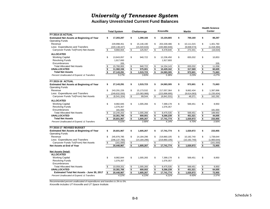**Auxiliary Unrestricted Current Fund Balances**

|                                                  |                         |                     |    |                |                     |                                      |                |                         | <b>Health Science</b> |
|--------------------------------------------------|-------------------------|---------------------|----|----------------|---------------------|--------------------------------------|----------------|-------------------------|-----------------------|
|                                                  |                         | <b>Total System</b> |    | Chattanooga    | Knoxville           |                                      | <b>Martin</b>  |                         | Center                |
| <b>FY 2014-15 ACTUAL</b>                         |                         |                     |    |                |                     |                                      |                |                         |                       |
| <b>Estimated Net Assets at Beginning of Year</b> | \$                      | 17,283,287          | \$ | 1,390,166      | \$<br>15,104,665    | \$                                   | 700,160        | \$                      | 88,297                |
| <b>Operating Funds</b>                           |                         |                     |    |                |                     |                                      |                |                         |                       |
| Revenue                                          |                         | 229,998,451         | \$ | 15,146,190     | \$<br>203,339,486   | \$                                   | 10,111,015     | \$                      | 1,401,760             |
| Less: Expenditures and Transfers                 |                         | (220, 138, 447)     |    | (15,020,633)   | (193,860,846)       |                                      | (9,838,574)    |                         | (1,418,394)           |
| Carryover Funds To/(From) Net Assets             | \$                      | 9,860,004           | \$ | 125,557        | \$<br>9,478,640     | \$                                   | 272,441        | \$                      | (16, 634)             |
| <b>ALLOCATED</b>                                 |                         |                     |    |                |                     |                                      |                |                         |                       |
| <b>Working Capital</b>                           | \$                      | 13,843,057          | \$ | 940.722        | \$<br>12.236.450    | \$                                   | 655.032        | \$                      | 10,853                |
| <b>Revolving Funds</b>                           |                         | 1,917,693           |    |                | 1,917,693           |                                      |                |                         |                       |
| Encumbrances                                     |                         | 205                 |    |                |                     |                                      |                |                         | 205                   |
| <b>Total Allocated Net Assets</b>                | \$                      | 15,760,955          | \$ | 940.722        | \$<br>14, 154, 143  | \$                                   | 655,032        | \$                      | 11,058                |
| <b>UNALLOCATED</b>                               | \$                      | 11,382,336          | \$ | 575,001        | \$<br>10.429.162    | \$                                   | 317,569        | \$                      | 60.605                |
| <b>Total Net Assets</b>                          | \$                      | 27,143,291          | \$ | 1,515,723      | \$<br>24,583,305    | $\sqrt[6]{\frac{1}{2}}$              | 972,601        | $\overline{\bullet}$    | 71,663                |
| Percent Unallocated of Expend. & Transfers       |                         | 5.17%               |    | 3.83%          | 5.38%               |                                      | 3.23%          |                         | 4.27%                 |
| <b>FY 2015-16 ACTUAL</b>                         |                         |                     |    |                |                     |                                      |                |                         |                       |
| <b>Estimated Net Assets at Beginning of Year</b> | \$                      | 27,143,291          | \$ | 1,515,723      | \$<br>24,583,305    | \$                                   | 972,601        | \$                      | 71,663                |
| <b>Operating Funds</b>                           |                         |                     |    |                |                     |                                      |                |                         |                       |
| Revenue                                          | \$                      | 243,291,226         | \$ | 15, 173, 532   | \$<br>217,057,364   | \$                                   | 9,662,434      | \$                      | 1,397,896             |
| Less: Expenditures and Transfers                 |                         | (249, 832, 550)     |    | (15,083,988)   | (223, 898, 895)     |                                      | (9,614,063)    |                         | (1, 235, 604)         |
| Carryover Funds To/(From) Net Assets             | $\mathfrak s$           | (6, 541, 324)       | \$ | 89,544         | \$<br>(6, 841, 531) | \$                                   | 48,371         | \$                      | 162,292               |
|                                                  |                         |                     |    |                |                     |                                      |                |                         |                       |
| <b>ALLOCATED</b>                                 |                         |                     |    |                |                     |                                      |                |                         |                       |
| <b>Working Capital</b>                           | \$                      | 8,982,845           | \$ | 1,005,266      | \$<br>7,399,178     | \$                                   | 569,451        | \$                      | 8,950                 |
| <b>Revolving Funds</b>                           |                         | 1,076,357           |    |                | 1,076,357           |                                      |                |                         |                       |
| Encumbrances                                     |                         | 181,000             |    |                |                     |                                      |                |                         | 181,000               |
| <b>Total Allocated Net Assets</b>                | \$                      | 10,240,202          | \$ | 1,005,266      | \$<br>8,475,535     | \$                                   | 569,451        | \$                      | 189,950               |
| <b>UNALLOCATED</b>                               |                         | 10,361,765          | \$ | 600,001        | \$<br>9,266,239     | \$                                   | 451,521        | \$                      | 44,005                |
| <b>Total Net Assets</b>                          | \$                      | 20,601,967          | s. | 1,605,267      | \$<br>17,741,774    | \$                                   | 1,020,972      | \$                      | 233.955               |
| Percent Unallocated of Expend. & Transfers       |                         | 4.15%               |    | 3.98%          | 4.14%               |                                      | 4.70%          |                         | 3.56%                 |
| FY 2016-17 REVISED BUDGET                        |                         |                     |    |                |                     |                                      |                |                         |                       |
| <b>Estimated Net Assets at Beginning of Year</b> | \$                      | 20,601,967          | \$ | 1,605,267      | \$<br>17,741,774    | \$                                   | 1,020,972      | \$                      | 233,955               |
| <b>Operating Funds</b>                           |                         |                     |    |                |                     |                                      |                |                         |                       |
| Revenue                                          | \$                      | 245,976,785         | \$ | 14, 184, 296   | \$<br>219,860,105   | \$                                   | 10,192,740     | \$                      | 1,739,644             |
| Less: Expenditures and Transfers                 |                         | (246, 137, 785)     |    | (14, 184, 296) | (219, 860, 105)     |                                      | (10, 192, 740) |                         | (1,900,644)           |
| Carryover Funds To/(From) Net Assets             | \$                      | (161,000)           | \$ |                | \$                  | \$                                   |                | \$                      | (161,000)             |
| Net Assets at End of Year                        |                         | 20,440,967          | \$ | 1,605,267      | \$<br>17,741,774    | $\overline{\boldsymbol{\mathsf{s}}}$ | 1,020,972      | $\overline{\mathbf{3}}$ | 72,955                |
| <b>Net Assets Detail:</b>                        |                         |                     |    |                |                     |                                      |                |                         |                       |
| <b>ALLOCATED</b>                                 |                         |                     |    |                |                     |                                      |                |                         |                       |
| <b>Working Capital</b>                           | \$                      | 8,982,844           | \$ | 1,005,265      | \$<br>7,399,178     | \$                                   | 569,451        | \$                      | 8,950                 |
| <b>Revolving Funds</b>                           |                         | 1,076,357           |    |                | 1,076,357           |                                      |                |                         |                       |
| Encumbrances                                     |                         |                     |    |                |                     |                                      |                |                         |                       |
| <b>Total Allocated Net Assets</b>                | \$                      | 10,059,201          | \$ | 1,005,265      | \$<br>8,475,535     | \$                                   | 569,451        | \$                      | 8,950                 |
| <b>UNALLOCATED</b>                               |                         | 10,381,766          | \$ | 600,002        | \$<br>9,266,239     | \$                                   | 451,521        | \$                      | 64,005                |
| Estimated Total Net Assets - June 30, 2017       | $\overline{\mathbf{s}}$ | 20,440,967          | \$ | 1,605,267      | \$<br>17,741,774    | \$                                   | 1,020,972      | $\frac{1}{2}$           | 72,955                |
| Percent Unallocated of Expend. & Transfers       |                         | 4.22%               |    | 4.23%          | 4.21%               |                                      | 4.43%          |                         | 3.37%                 |

*Recommended percent unallocated of expenditures and transfers is 3% to 5%.*

*Knoxville includes UT Knoxville and UT Space Institute.*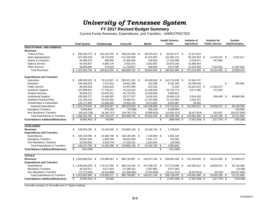### **FY 2017 Revised Budget Summary**

Current Funds Revenues, Expenditures, and Transfers - UNRESTRICTED

|                                            |                         |                     |      |                |      |                |      |                |      | <b>Health Science</b> |     | Institute of       | Institute for         | System                |
|--------------------------------------------|-------------------------|---------------------|------|----------------|------|----------------|------|----------------|------|-----------------------|-----|--------------------|-----------------------|-----------------------|
|                                            |                         | <b>Total System</b> |      | Chattanooga    |      | Knoxville      |      | <b>Martin</b>  |      | Center                |     | <b>Agriculture</b> | <b>Public Service</b> | <b>Administration</b> |
| <b>EDUCATIONAL AND GENERAL</b>             |                         |                     |      |                |      |                |      |                |      |                       |     |                    |                       |                       |
| <b>Revenues</b>                            |                         |                     |      |                |      |                |      |                |      |                       |     |                    |                       |                       |
| <b>Tuition &amp; Fees</b>                  | \$                      | 668,245,473 \$      |      | 104,155,765 \$ |      | 409,244,205 \$ |      | 58,070,412 \$  |      | 84,647,477 \$         |     | 12,127,614         |                       |                       |
| <b>State Appropriations</b>                |                         | 527,569,249         |      | 46,713,505     |      | 211,534,658    |      | 31,515,097     |      | 141,082,121           |     | 80,150,264 \$      | 11,042,187 \$         | 5,531,417             |
| <b>Grants &amp; Contracts</b>              |                         | 45,380,370          |      | 583,606        |      | 22,850,000     |      | 158,000        |      | 17,222,998            |     | 4,018,071          | 547,695               |                       |
| Sales & Service                            |                         | 59,443,657          |      | 5,080,179      |      | 5,552,072      |      | 3,452,897      |      | 20,972,105            |     | 24,386,404         |                       |                       |
| <b>Other Sources</b>                       |                         | 56,993,985          |      | 279,500        |      | 11,708,857     |      | 638,000        |      | 3,017,585             |     | 16,328,486         | 7,624,501             | 17,397,056            |
| <b>Total Revenues</b>                      |                         | \$1,357,632,734     | \$   | 156,812,555    | - \$ | 660,889,792    | -\$  | 93,834,406     | \$   | 266,942,286           | \$  | 137,010,839 \$     | 19,214,383            | 22,928,473            |
| <b>Expenditures and Transfers</b>          |                         |                     |      |                |      |                |      |                |      |                       |     |                    |                       |                       |
| Instruction                                | £.                      | 590.903.322 \$      |      | 70.113.837 \$  |      | 295.071.191 \$ |      | 46,438,949     | - \$ | 142.274.638 \$        |     | 37.004.707         |                       |                       |
| Research                                   |                         | 109,449,324         |      | 2,374,533      |      | 49,921,289     |      | 322,288        |      | 9,783,165             |     | 46,798,049         |                       | \$<br>250,000         |
| <b>Public Service</b>                      |                         | 89,593,618          |      | 2,632,816      |      | 14,407,058     |      | 610,231        |      | 71,326                |     | 54,261,913 \$      | 17,610,274            |                       |
| Academic Support                           |                         | 167,886,851         |      | 17,746,017     |      | 75,216,542     |      | 12,348,200     |      | 53,732,774            |     | 8,571,385          | 271,933               |                       |
| <b>Student Services</b>                    |                         | 90,844,212          |      | 24,835,221     |      | 45,732,561     |      | 13,326,609     |      | 6,949,821             |     |                    |                       |                       |
| <b>Institutional Support</b>               |                         | 155,658,727         |      | 13,484,592     |      | 55,277,527     |      | 6,616,303      |      | 26,840,119            |     | 2,614,432          | 936,466 \$            | 49,889,288            |
| Op/Maint Physical Plant                    |                         | 141,316,418         |      | 20,020,955     |      | 79,466,512     |      | 11,470,596     |      | 27,147,984            |     | 3,210,371          |                       |                       |
| Scholarships & Fellowships                 |                         | 105,717,960         |      | 12,848,586     |      | 74,833,140     |      | 9,073,692      |      | 8,923,087             |     | 39,455             |                       |                       |
| <b>Subtotal Expenditures</b>               |                         | \$1,451,370,432     | -\$  | 164,056,557    | - \$ | 689,925,820 \$ |      | 100,206,868    | \$   | 275,722,914           | -\$ | 152,500,312 \$     | 18,818,673 \$         | 50,139,288            |
| <b>Mandatory Transfers</b>                 |                         | 8,564,891           |      | 874,165        |      | 747,685        |      | 626,148        |      | 6,206,893             |     |                    |                       | 110,000               |
| Non Mandatory Transfers                    |                         | (93, 410, 128)      |      | (8, 184, 747)  |      | (29, 783, 713) |      | (6,998,610)    |      | (14,091,021)          |     | (8,437,914)        | 613,507               | (26, 527, 630)        |
| <b>Total Expenditures &amp; Transfers</b>  |                         | \$1,366,525,195     | \$   | 156,745,975 \$ |      | 660,889,792 \$ |      | 93,834,406     | \$   | 267,838,786           | \$  | 144,062,398 \$     | 19,432,180 \$         | 23,721,658            |
| <b>Fund Balance Addition/(Reduction)</b>   | \$                      | $(8,892,461)$ \$    |      | 66,580         |      |                |      |                | \$   | $(896,500)$ \$        |     | $(7,051,559)$ \$   | $(217, 797)$ \$       | (793, 185)            |
|                                            |                         |                     |      |                |      |                |      |                |      |                       |     |                    |                       |                       |
| <b>AUXILIARIES</b><br><b>Revenues</b>      | \$                      | 245,976,785 \$      |      | 14,184,296 \$  |      |                |      |                |      |                       |     |                    |                       |                       |
|                                            |                         |                     |      |                |      | 219,860,105 \$ |      | 10,192,740 \$  |      | 1,739,644             |     |                    |                       |                       |
| <b>Expenditures and Transfers</b>          | \$                      | 185,233,596         | - \$ | 10,360,738 \$  |      | 166,193,345 \$ |      | 7,129,369 \$   |      | 1,550,144             |     |                    |                       |                       |
| Expenditures<br><b>Mandatory Transfers</b> |                         | 40,667,626          |      | 1,803,780      |      | 36,451,629     |      | 2,041,717      |      | 370,500               |     |                    |                       |                       |
| Non-Mandatory Transfers                    |                         | 20,236,563          |      | 2,019,778      |      | 17,215,131     |      | 1,021,654      |      | (20,000)              |     |                    |                       |                       |
| <b>Total Expenditures &amp; Transfers</b>  | \$                      | 246, 137, 785       | -\$  | 14,184,296     | \$   | 219,860,105 \$ |      | 10,192,740     | \$   | 1,900,644             |     |                    |                       |                       |
|                                            | $\overline{\mathbb{S}}$ |                     |      |                |      |                |      |                |      |                       |     |                    |                       |                       |
| <b>Fund Balance Addition/(Reduction)</b>   |                         | (161,000)           |      |                |      |                |      |                | \$   | (161,000)             |     |                    |                       |                       |
| <b>TOTALS</b>                              |                         |                     |      |                |      |                |      |                |      |                       |     |                    |                       |                       |
| <b>Revenues</b>                            |                         | $$1,603,609,519$ \$ |      | 170,996,851 \$ |      | 880,749,897    | - \$ | 104,027,146 \$ |      | 268,681,930           | -\$ | 137,010,839 \$     | 19,214,383 \$         | 22,928,473            |
| <b>Expenditures and Transfers</b>          |                         |                     |      |                |      |                |      |                |      |                       |     |                    |                       |                       |
| Expenditures                               |                         | $$1,636,604,028$ \$ |      | 174,417,295 \$ |      | 856,119,165 \$ |      | 107,336,237 \$ |      | 277,273,058           | -\$ | 152,500,312 \$     | 18,818,673 \$         | 50,139,288            |
| <b>Mandatory Transfers</b>                 |                         | 49,232,517          |      | 2,677,945      |      | 37,199,314     |      | 2,667,865      |      | 6,577,393             |     |                    |                       | 110,000               |
| Non-Mandatory Transfers                    |                         | (73, 173, 565)      |      | (6, 164, 969)  |      | (12, 568, 582) |      | (5,976,956)    |      | (14, 111, 021)        |     | (8,437,914)        | 613,507               | (26, 527, 630)        |
| <b>Total Expenditures &amp; Transfers</b>  |                         | \$1,612,662,980     | \$   | 170,930,271    | \$   | 880,749,897    | -\$  | 104,027,146    | \$   | 269,739,430           | \$  | 144,062,398 \$     | 19,432,180 \$         | 23,721,658            |
| <b>Fund Balance Addition/(Reduction)</b>   | \$                      | $(9,053,461)$ \$    |      | 66,580         |      |                |      |                | \$   | $(1,057,500)$ \$      |     | $(7,051,559)$ \$   | $(217, 797)$ \$       | (793, 185)            |

Knoxville includes UT Knoxville and UT Space Institute.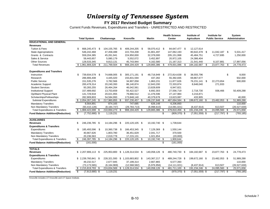**FY 2017 Revised Budget Summary**

Current Funds Revenues, Expenditures and Transfers - UNRESTRICTED AND RESTRICTED

|                                           |                         |                      |     |                 |     | <b>Health Science</b> |      | Institute of   | Institute for           |                 | System |                    |                       |     |                |
|-------------------------------------------|-------------------------|----------------------|-----|-----------------|-----|-----------------------|------|----------------|-------------------------|-----------------|--------|--------------------|-----------------------|-----|----------------|
|                                           |                         | <b>Total System</b>  |     | Chattanooga     |     | Knoxville             |      | <b>Martin</b>  |                         | <b>Center</b>   |        | <b>Agriculture</b> | <b>Public Service</b> |     | Administration |
| <b>EDUCATIONAL AND GENERAL</b>            |                         |                      |     |                 |     |                       |      |                |                         |                 |        |                    |                       |     |                |
| <b>Revenues</b>                           |                         |                      |     |                 |     |                       |      |                |                         |                 |        |                    |                       |     |                |
| Tuition & Fees                            | \$                      | 668,245,473          | \$  | 104,155,765     | -\$ | 409,244,205 \$        |      | 58,070,412 \$  |                         | 84,647,477 \$   |        | 12,127,614         |                       |     |                |
| <b>State Appropriations</b>               |                         | 546,242,468          |     | 47,458,488      |     | 222,704,208           |      | 31,801,497     |                         | 147,062,193     |        | 80,642,478 \$      | 11,042,187 \$         |     | 5,531,417      |
| Grants & Contracts                        |                         | 559,204,385          |     | 45,261,941      |     | 224,950,000           |      | 32,378,000     |                         | 205, 151, 998   |        | 45,484,751         | 4,727,695             |     | 1,250,000      |
| Sales & Service                           |                         | 59,443,657           |     | 5,080,179       |     | 5,552,072             |      | 3,452,897      |                         | 20,972,105      |        | 24,386,404         |                       |     |                |
| <b>Other Sources</b>                      |                         | 128,533,345          |     | 9,813,131       |     | 45,743,944            |      | 4,162,580      |                         | 21, 167, 313    |        | 21,541,440         | 8,107,881             |     | 17,997,056     |
| <b>Total Revenues</b>                     |                         | \$1,961,669,328      | \$  | 211,769,504     | \$  | 908,194,429           |      | 129,865,386    |                         | 479,001,086     | \$     | 184, 182, 687      | \$<br>23,877,763      | \$  | 24,778,473     |
| <b>Expenditures and Transfers</b>         |                         |                      |     |                 |     |                       |      |                |                         |                 |        |                    |                       |     |                |
| Instruction                               | \$                      | 739.934.579 \$       |     | 74.668.005      | \$  | 305.171.191 \$        |      | 48,716,949     | -\$                     | 272.814.638     | - \$   | 38.555.796         |                       | \$  | 8.000          |
| Research                                  |                         | 286,906,408          |     | 4,445,020       |     | 155,831,594           |      | 437,282        |                         | 55,392,835      |        | 69,867,677         |                       |     | 932,000        |
| <b>Public Service</b>                     |                         | 151,535,276          |     | 3,782,566       |     | 34,907,058            |      | 1,863,231      |                         | 11,877,626      |        | 76,231,141 \$      | 22,273,654            |     | 600,000        |
| Academic Support                          |                         | 200,478,314          |     | 20,240,393      |     | 86,140,874            |      | 12,843,200     |                         | 72,333,874      |        | 8,648,040          | 271,933               |     |                |
| <b>Student Services</b>                   |                         | 93,283,255           |     | 26,464,264      |     | 46,042,561            |      | 13,828,609     |                         | 6,947,821       |        |                    |                       |     |                |
| <b>Institutional Support</b>              |                         | 157,489,692          |     | 13,753,659      |     | 55,422,527            |      | 6,692,303      |                         | 27,556,719      |        | 2,718,730          | 936,466               |     | 50,409,288     |
| Op/Maint Physical Plant                   |                         | 141,729,918          |     | 20,021,955      |     | 79,866,512            |      | 11,476,596     |                         | 27,147,984      |        | 3,216,871          |                       |     |                |
| Scholarships/Fellowships                  |                         | 282,909,803          |     | 54,584,993      |     | 173,848,140           |      | 40,379,678     |                         | 13,623,087      |        | 433,905            |                       |     | 40.000         |
| Subtotal Expenditures                     |                         | \$2,054,267,245      | \$  | 217,960,855 \$  |     | 937,230,457 \$        |      | 136,237,848    | \$.                     | 487,694,584     | - \$   | 199,672,160 \$     | 23,482,053 \$         |     | 51,989,288     |
| <b>Mandatory Transfers</b>                |                         | 8,564,891            |     | 874,165         |     | 747,685               |      | 626,148        |                         | 6,206,893       |        |                    |                       |     | 110,000        |
| Non Mandatory Transfers                   |                         | (93, 410, 128)       |     | (8, 184, 747)   |     | (29, 783, 713)        |      | (6,998,610)    |                         | (14,091,021)    |        | (8,437,914)        | 613,507               |     | (26, 527, 630) |
| <b>Total Expenditures &amp; Transfers</b> |                         | \$1,969,422,008      | \$  | 210,650,273 \$  |     | 908,194,429 \$        |      | 129,865,386    | \$                      | 479,810,456     | \$     | 191,234,246 \$     | 24,095,560 \$         |     | 25,571,658     |
| <b>Fund Balance Addition/(Reduction)</b>  | S,                      | $(7,752,680)$ \$     |     | 1,119,231       |     |                       |      |                | \$                      | $(809, 370)$ \$ |        | $(7,051,559)$ \$   | $(217, 797)$ \$       |     | (793, 185)     |
| <b>AUXILIARIES</b>                        |                         |                      |     |                 |     |                       |      |                |                         |                 |        |                    |                       |     |                |
| <b>Revenues</b>                           | \$                      | 246,236,785 \$       |     | 14, 184, 296 \$ |     | 220,120,105 \$        |      | 10,192,740 \$  |                         | 1,739,644       |        |                    |                       |     |                |
| <b>Expenditures &amp; Transfers</b>       |                         |                      |     |                 |     |                       |      |                |                         |                 |        |                    |                       |     |                |
| Expenditures                              | \$                      | 185,493,596          | \$  | 10,360,738      | \$  | 166,453,345 \$        |      | 7,129,369 \$   |                         | 1,550,144       |        |                    |                       |     |                |
| <b>Mandatory Transfers</b>                |                         | 40,667,626           |     | 1,803,780       |     | 36,451,629            |      | 2,041,717      |                         | 370,500         |        |                    |                       |     |                |
| Non Mandatory Transfers                   |                         | 20,236,563           |     | 2,019,778       |     | 17,215,131            |      | 1,021,654      |                         | (20,000)        |        |                    |                       |     |                |
| <b>Total Expenditures &amp; Transfers</b> | \$                      | 246,397,785          | \$  | 14,184,296      | \$  | 220,120,105           | - \$ | 10,192,740     | \$                      | 1,900,644       |        |                    |                       |     |                |
| <b>Fund Balance Addition/(Reduction)</b>  | $\overline{\$}$         | (161,000)            |     |                 |     |                       |      |                | $\sqrt[6]{\frac{2}{5}}$ | (161,000)       |        |                    |                       |     |                |
|                                           |                         |                      |     |                 |     |                       |      |                |                         |                 |        |                    |                       |     |                |
| <b>TOTALS</b>                             |                         |                      |     |                 |     |                       |      |                |                         |                 |        |                    |                       |     |                |
| <b>Revenues</b>                           |                         | $$2,207,906,113$ \\$ |     | 225.953.800     | \$  | 1,128,314,534 \$      |      | 140.058.126 \$ |                         | 480.740.730     | -\$    | 184, 182, 687 \$   | 23,877,763 \$         |     | 24,778,473     |
| <b>Expenditures &amp; Transfers</b>       |                         |                      |     |                 |     |                       |      |                |                         |                 |        |                    |                       |     |                |
| Expenditures                              |                         | $$2,239,760,841$ \\$ |     | 228,321,593     |     | \$1,103,683,802 \$    |      | 143,367,217 \$ |                         | 489,244,728     | - \$   | 199,672,160 \$     | 23,482,053 \$         |     | 51,989,288     |
| <b>Mandatory Transfers</b>                |                         | 49,232,517           |     | 2,677,945       |     | 37,199,314            |      | 2,667,865      |                         | 6,577,393       |        |                    |                       |     | 110,000        |
| Non Mandatory Transfers                   |                         | (73, 173, 565)       |     | (6, 164, 969)   |     | (12, 568, 582)        |      | (5,976,956)    |                         | (14, 111, 021)  |        | (8,437,914)        | 613,507               |     | (26, 527, 630) |
| <b>Total Expenditures &amp; Transfers</b> |                         | \$2,215,819,793      | -\$ | 224,834,569     | \$  | 1,128,314,534 \$      |      | 140,058,126    | \$                      | 481,711,100     | - \$   | 191,234,246 \$     | 24,095,560            | -\$ | 25,571,658     |
| <b>Fund Balance Addition/(Reduction)</b>  | $\overline{\mathbb{S}}$ | $(7,913,680)$ \$     |     | 1,119,231       |     |                       |      |                | \$                      | $(970, 370)$ \$ |        | $(7,051,559)$ \$   | $(217, 797)$ \$       |     | (793, 185)     |

Knoxville includes UT Knoxville and UT Space Institute.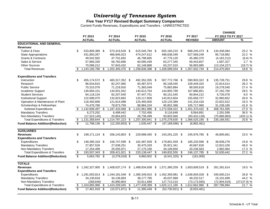#### **Five Year FY17 Revised Budget Summary Comparison**

Current Funds Revenues, Expenditures and Transfers - UNRESTRICTED

|                                           |                         |                  |     |                     |     |                  |     |                     |                        |     | <b>CHANGE</b>      |             |
|-------------------------------------------|-------------------------|------------------|-----|---------------------|-----|------------------|-----|---------------------|------------------------|-----|--------------------|-------------|
|                                           |                         | FY 2013          |     | FY 2014             |     | FY 2015          |     | FY 2016             | FY 2017                |     | FY 2013 TO FY 2017 |             |
|                                           |                         | <b>ACTUAL</b>    |     | <b>ACTUAL</b>       |     | <b>ACTUAL</b>    |     | <b>ACTUAL</b>       | <b>REVISED</b>         |     | <b>AMOUNT</b>      | $\%$        |
| <b>EDUCATIONAL AND GENERAL</b>            |                         |                  |     |                     |     |                  |     |                     |                        |     |                    |             |
| <b>Revenues</b>                           |                         |                  |     |                     |     |                  |     |                     |                        |     |                    |             |
| <b>Tuition &amp; Fees</b>                 | \$                      | 533,809,389 \$   |     | 573,319,528 \$      |     | 615,545,784 \$   |     | 655,160,210 \$      | 668,245,473 \$         |     | 134,436,084        | 25.2 %      |
| <b>State Appropriations</b>               |                         | 431,850,267      |     | 466,846,023         |     | 474,247,612      |     | 498,638,349         | 527,569,249            |     | 95,718,982         | 22.2 %      |
| <b>Grants &amp; Contracts</b>             |                         | 49,542,582       |     | 47,701,692          |     | 46,798,665       |     | 47,776,120          | 45,380,370             |     | (4, 162, 212)      | (8.4) %     |
| Sales & Service                           |                         | 57,856,330       |     | 56,782,696          |     | 60,095,439       |     | 63,277,345          | 59,443,657             |     | 1,587,327          | 2.7%        |
| <b>Other Sources</b>                      |                         | 70,098,212       |     | 57,843,432          |     | 62,148,888       |     | 63,237,010          | 56,993,985             |     | (13, 104, 227)     | (18.7) %    |
| <b>Total Revenues</b>                     | -\$                     | 1,143,156,780    | \$  | 1,202,493,370       | \$  | 1,258,836,388    |     | 1,328,089,034       | \$<br>1,357,632,734    | \$  | 214,475,954        | 18.8 %      |
| <b>Expenditures and Transfers</b>         |                         |                  |     |                     |     |                  |     |                     |                        |     |                    |             |
| Instruction                               | \$                      | 455,174,572 \$   |     | 483,317,352 \$      |     | 492,352,355 \$   |     | 507,772,768 \$      | 590,903,322 \$         |     | 135,728,751        | 29.8 %      |
| Research                                  |                         | 86,634,810       |     | 82,247,060          |     | 83,487,974       |     | 85,108,045          | 109,449,324            |     | 22,814,514         | 26.3 %      |
| <b>Public Service</b>                     |                         | 70,315,078       |     | 71,218,916          |     | 71,365,049       |     | 75,883,884          | 89,593,618             |     | 19,278,540         | 27.4 %      |
| Academic Support                          |                         | 130,694,151      |     | 134,931,552         |     | 140,613,764      |     | 144,850,799         | 167,886,851            |     | 37,192,700         | 28.5 %      |
| <b>Student Services</b>                   |                         | 84,118,134       |     | 82,207,540          |     | 87,447,751       |     | 90,151,545          | 90,844,212             |     | 6,726,078          | 8.0 %       |
| <b>Institutional Support</b>              |                         | 122,698,075      |     | 132,823,682         |     | 133,117,858      |     | 143,813,604         | 155,658,727            |     | 32,960,652         | 26.9 %      |
| Operation & Maintenance of Plant          |                         | 118,493,896      |     | 121,814,088         |     | 125,493,000      |     | 129,125,389         | 141,316,418            |     | 22,822,522         | 19.3 %      |
| Scholarships & Fellowships                |                         | 74,479,780       |     | 78,873,759          |     | 88,984,234       |     | 95,852,388          | 105,717,960            |     | 31,238,180         | 41.9 %      |
| <b>Subtotal Expenditures</b>              |                         | \$1,142,608,497  | \$  | 1,187,433,948       | \$  | 1,222,861,986    |     | 1,272,558,422       | \$<br>1,451,370,432    | -\$ | 308,761,935        | 27.0 %      |
| <b>Mandatory Transfers</b>                |                         | 6,273,292        |     | 6,498,442           |     | 7,702,456        |     | 9,116,648           | 8,564,891              |     | 2,291,599          | 36.5 %      |
| Non-Mandatory Transfers                   |                         | (17, 523, 145)   |     | 20,854,833          |     | 26,736,499       |     | 93,603,560          | (93, 410, 128)         |     | (75, 886, 983)     | $(433.1)$ % |
| <b>Total Expenditures &amp; Transfers</b> | \$                      | 1,131,358,644    | \$  | 1,214,787,223 \$    |     | 1,257,300,941    | \$. | 1,375,278,630       | \$<br>1,366,525,195    | -\$ | 235, 166, 551      | 20.8 %      |
| <b>Fund Balance Addition/(Reduction)</b>  | \$                      | 11,798,136 \$    |     | $(12, 293, 853)$ \$ |     | $1,535,447$ \$   |     | $(47, 189, 596)$ \$ | (8,892,461)            |     |                    |             |
| <b>AUXILIARIES</b>                        |                         |                  |     |                     |     |                  |     |                     |                        |     |                    |             |
| <b>Revenues</b>                           | \$                      | 199,171,124 \$   |     | 206,143,803 \$      |     | 229,998,450 \$   |     | 243,291,225 \$      | 245,976,785 \$         |     | 46,805,661         | 23.5 %      |
| <b>Expenditures and Transfers</b>         |                         |                  |     |                     |     |                  |     |                     |                        |     |                    |             |
| Expenditures                              | \$                      | 148,395,318 \$   |     | 156,747,599 \$      |     | 162,487,928 \$   |     | 179,801,559 \$      | 185,233,596 \$         |     | 36,838,278         | 24.8 %      |
| <b>Mandatory Transfers</b>                |                         | 27,857,526       |     | 27,638,251          |     | 30,475,329       |     | 35,921,341          | 40,667,626             |     | 12,810,100         | 46.0 %      |
| Non-Mandatory Transfers                   |                         | 17,254,499       |     | 25,035,971          |     | 27,175,190       |     | 34,109,650          | 20,236,563             |     | 2,982,064          | 17.3 %      |
| <b>Total Expenditures &amp; Transfers</b> | $\overline{\mathbf{e}}$ | 193,507,343      | -\$ | 209,421,821         | -\$ | 220,138,447 \$   |     | 249,832,550         | \$<br>246, 137, 785 \$ |     | 52,630,442         | 27.2 %      |
| <b>Fund Balance Addition/(Reduction)</b>  | $\overline{\mathbb{S}}$ | 5,663,782 \$     |     | $(3,278,018)$ \$    |     | 9,860,002 \$     |     | $(6,541,325)$ \$    | (161,000)              |     |                    |             |
| <b>TOTALS</b>                             |                         |                  |     |                     |     |                  |     |                     |                        |     |                    |             |
| <b>Revenues</b>                           | \$                      | 1,342,327,905    | S   | 1,408,637,174       | \$  | 1,488,834,838    | -\$ | 1,571,380,259       | \$<br>1,603,609,519 \$ |     | 261,281,614        | 19.5 %      |
| <b>Expenditures and Transfers</b>         |                         |                  |     |                     |     |                  |     |                     |                        |     |                    |             |
| <b>Expenditures</b>                       |                         | 1,291,003,814 \$ |     | 1,344,181,548 \$    |     | 1,385,349,915 \$ |     | 1,452,359,981       | \$<br>1,636,604,028 \$ |     | 345,600,214        | 26.8 %      |
| <b>Mandatory Transfers</b>                |                         | 34,130,818       |     | 34,136,693          |     | 38,177,785       |     | 45,037,989          | 49,232,517             |     | 15,101,699         | 44.2 %      |
| Non-Mandatory Transfers                   |                         | (268,646)        |     | 45,890,804          |     | 53,911,689       |     | 127,713,210         | (73, 173, 565)         |     | (72,904,919)       | (27137.9) % |
| <b>Total Expenditures &amp; Transfers</b> | \$                      | 1,324,865,986    | \$  | 1,424,209,045       | \$  | 1,477,439,389    | \$  | 1,625,111,180       | \$<br>1,612,662,980    | \$  | 287,796,994        | 21.7%       |
| <b>Fund Balance Addition/(Reduction)</b>  | $\overline{\mathbb{S}}$ | 17,461,918 \$    |     | $(15,571,871)$ \$   |     | 11,395,449       | -\$ | $(53,730,921)$ \$   | (9,053,461)            |     |                    |             |
|                                           |                         |                  |     |                     |     |                  |     |                     |                        |     |                    |             |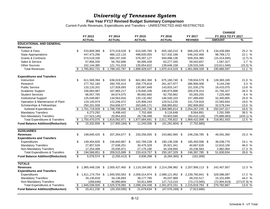#### **Five Year FY17 Revised Budget Summary Comparison**

Current Funds Revenues, Expenditures and Transfers - UNRESTRICTED AND RESTRICTED

|                                           |                         |                  |      |                     |      |                  |      |                     |     |                  |     | <b>CHANGE</b>      |             |
|-------------------------------------------|-------------------------|------------------|------|---------------------|------|------------------|------|---------------------|-----|------------------|-----|--------------------|-------------|
|                                           |                         | FY 2013          |      | FY 2014             |      | FY 2015          |      | FY 2016             |     | FY 2017          |     | FY 2013 TO FY 2017 |             |
|                                           |                         | <b>ACTUAL</b>    |      | <b>ACTUAL</b>       |      | <b>ACTUAL</b>    |      | <b>ACTUAL</b>       |     | <b>REVISED</b>   |     | <b>AMOUNT</b>      | %           |
| <b>EDUCATIONAL AND GENERAL</b>            |                         |                  |      |                     |      |                  |      |                     |     |                  |     |                    |             |
| <b>Revenues</b>                           |                         |                  |      |                     |      |                  |      |                     |     |                  |     |                    |             |
| <b>Tuition &amp; Fees</b>                 | \$                      | 533,809,389 \$   |      | 573,319,528 \$      |      | 615,545,784 \$   |      | 655,160,210 \$      |     | 668,245,473 \$   |     | 134,436,084        | 25.2 %      |
| <b>State Appropriations</b>               |                         | 447,473,296      |      | 486,122,116         |      | 498,835,055      |      | 517,432,168         |     | 546,242,468      |     | 98,769,172         | 22.1 %      |
| <b>Grants &amp; Contracts</b>             |                         | 574,519,330      |      | 560,197,430         |      | 579,397,127      |      | 594,898,136         |     | 559,204,385      |     | (15, 314, 945)     | (2.7) %     |
| Sales & Service                           |                         | 57,856,330       |      | 56,782,696          |      | 60,095,439       |      | 63,277,345          |     | 59,443,657       |     | 1,587,327          | 2.7%        |
| <b>Other Sources</b>                      |                         | 152,144,385      |      | 121,741,019         |      | 135,054,622      |      | 139,646,158         |     | 128,533,345      |     | (23,611,040)       | (15.5) %    |
| <b>Total Revenues</b>                     | \$                      | 1,765,802,731    | \$   | 1,798,162,787       | - \$ | 1,888,928,027    | \$   | 1,970,414,018       | \$  | 1,961,669,328    | \$  | 195,866,597        | 11.1%       |
| <b>Expenditures and Transfers</b>         |                         |                  |      |                     |      |                  |      |                     |     |                  |     |                    |             |
| Instruction                               | \$                      | 611,569,394 \$   |      | 636,019,932 \$      |      | 661,961,368 \$   |      | 675,180,740 \$      |     | 739,934,579      | -\$ | 128,365,185        | 21.0 %      |
| Research                                  |                         | 277,762,160      |      | 260,705,414         |      | 256,779,818      |      | 261,427,977         |     | 286,906,408      |     | 9,144,248          | 3.3 %       |
| <b>Public Service</b>                     |                         | 133,120,201      |      | 127,928,093         |      | 130,087,649      |      | 143,833,147         |     | 151,535,276      |     | 18,415,075         | 13.8 %      |
| Academic Support                          |                         | 158,683,987      |      | 167,965,217         |      | 179,840,336      |      | 190,873,898         |     | 200,478,314      |     | 41,794,327         | 26.3 %      |
| <b>Student Services</b>                   |                         | 86,057,765       |      | 84,674,075          |      | 89,692,660       |      | 92,750,862          |     | 93,283,255       |     | 7,225,490          | 8.4 %       |
| <b>Institutional Support</b>              |                         | 125,048,887      |      | 134,563,916         |      | 135, 132, 492    |      | 146,540,103         |     | 157,489,692      |     | 32,440,805         | 25.9 %      |
| Operation & Maintenance of Plant          |                         | 119,145,974      |      | 122,246,472         |      | 125,906,243      |      | 129,513,235         |     | 141,729,918      |     | 22,583,944         | 19.0 %      |
| Scholarships & Fellowships                |                         | 250,331,559      |      | 254,606,577         |      | 263,845,171      |      | 268,865,652         |     | 282,909,803      |     | 32,578,244         | 13.0 %      |
| <b>Subtotal Expenditures</b>              |                         | \$1,761,719,928  | - \$ | 1,788,709,696 \$    |      | 1,843,245,736    |      | 1,908,985,614       | \$  | 2,054,267,245    | \$  | 292,547,317        | 16.6 %      |
| <b>Mandatory Transfers</b>                |                         | 6,273,292        |      | 6,498,442           |      | 7,702,456        |      | 9,116,648           |     | 8,564,891        |     | 2,291,599          | 36.5 %      |
| Non-Mandatory Transfers                   |                         | (17, 523, 145)   |      | 20,854,833          |      | 26,736,499       |      | 93,603,560          |     | (93, 410, 128)   |     | (75, 886, 983)     | $(433.1)$ % |
| <b>Total Expenditures &amp; Transfers</b> | \$                      | 1,750,470,075    | S    | 1,816,062,971       | - \$ | 1,877,684,691    | \$.  | 2,011,705,822       | S   | 1,969,422,008    | \$  | 218,951,933        | 12.5 %      |
| <b>Fund Balance Addition/(Reduction)</b>  | \$                      | 15,332,656       | -\$  | $(17,900,184)$ \$   |      | 11,243,336 \$    |      | $(41, 291, 804)$ \$ |     | (7,752,680)      |     |                    |             |
|                                           |                         |                  |      |                     |      |                  |      |                     |     |                  |     |                    |             |
| <b>AUXILIARIES</b>                        |                         |                  |      |                     |      |                  |      |                     |     |                  |     |                    |             |
| <b>Revenues</b>                           | \$                      | 199,645,425      | - \$ | 207,264,677 \$      |      | 230,256,055 \$   |      | 243,882,965 \$      |     | 246,236,785 \$   |     | 46,591,360         | 23.3 %      |
| <b>Expenditures and Transfers</b>         |                         |                  |      |                     |      |                  |      |                     |     |                  |     |                    |             |
| Expenditures                              | \$                      | 149,454,826 \$   |      | 156,840,867 \$      |      | 162,769,238 \$   |      | 180,136,338 \$      |     | 185,493,596 \$   |     | 36,038,770         | 24.1 %      |
| <b>Mandatory Transfers</b>                |                         | 27,857,526       |      | 27,638,251          |      | 30,475,329       |      | 35,921,341          |     | 40,667,626       |     | 12,810,100         | 46.0 %      |
| Non-Mandatory Transfers                   |                         | 17,254,499       |      | 25,035,971          |      | 27,175,190       |      | 34,109,650          |     | 20,236,563       |     | 2,982,064          | 17.3 %      |
| <b>Total Expenditures &amp; Transfers</b> | $\overline{\mathbf{e}}$ | 194,566,851      | \$   | 209,515,089         | - \$ | 220,419,757      | -\$  | 250, 167, 329       | \$  | 246,397,785      | -\$ | 51,830,934         | 26.6 %      |
| <b>Fund Balance Addition/(Reduction)</b>  | $\overline{\mathbb{S}}$ | $5,078,574$ \$   |      | $(2,250,412)$ \$    |      | 9,836,298 \$     |      | $(6,284,365)$ \$    |     | (161,000)        |     |                    |             |
| <b>TOTALS</b>                             |                         |                  |      |                     |      |                  |      |                     |     |                  |     |                    |             |
| <b>Revenues</b>                           | \$                      | 1,965,448,156    | S    | 2,005,427,465       | \$   | 2,119,184,082    | - \$ | 2,214,296,982       | -\$ | 2,207,906,113 \$ |     | 242,457,957        | 12.3 %      |
| <b>Expenditures and Transfers</b>         |                         |                  |      |                     |      |                  |      |                     |     |                  |     |                    |             |
| <b>Expenditures</b>                       | \$.                     | 1,911,174,754 \$ |      | 1,945,550,563 \$    |      | 2,006,014,974 \$ |      | 2,089,121,952 \$    |     | 2,239,760,841 \$ |     | 328,586,087        | 17.2 %      |
| <b>Mandatory Transfers</b>                |                         | 34,130,818       |      | 34,136,693          |      | 38,177,785       |      | 45,037,989          |     | 49,232,517       |     | 15,101,699         | 44.2 %      |
| Non-Mandatory Transfers                   |                         | (268,646)        |      | 45,890,804          |      | 53,911,689       |      | 127,713,210         |     | (73, 173, 565)   |     | (72,904,919)       | (27137.9) % |
| <b>Total Expenditures &amp; Transfers</b> | \$                      | 1,945,036,926    | \$   | 2,025,578,060       | \$   | 2,098,104,448    | \$   | 2,261,873,151       | \$  | 2,215,819,793    | \$  | 270,782,867        | 13.9 %      |
| <b>Fund Balance Addition/(Reduction)</b>  | $\overline{\mathbb{S}}$ | 20,411,230 \$    |      | $(20, 150, 595)$ \$ |      | 21,079,634 \$    |      | $(47, 576, 169)$ \$ |     | (7,913,680)      |     |                    |             |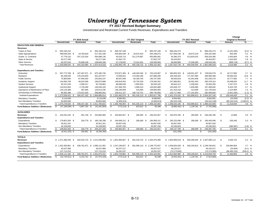**FY 2017 Revised Budget Summary**

Unrestricted and Restricted Current Funds Revenues, Expenditures and Transfers

|                                            |                           |                                      |                 |                         |                   |                              |                                  |                     |                              |          | Change                     |               |
|--------------------------------------------|---------------------------|--------------------------------------|-----------------|-------------------------|-------------------|------------------------------|----------------------------------|---------------------|------------------------------|----------|----------------------------|---------------|
|                                            |                           | FY 2016 Actual                       |                 |                         | FY 2017 Original  |                              |                                  | FY 2017 Revised     |                              |          | <b>Original to Revised</b> |               |
|                                            | Unrestricted              | Restricted                           | Total           | <b>Unrestricted</b>     | <b>Restricted</b> | Total                        | <b>Unrestricted</b>              | <b>Restricted</b>   | Total                        |          | Amount                     | %             |
| <b>EDUCATION AND GENERAL</b>               |                           |                                      |                 |                         |                   |                              |                                  |                     |                              |          |                            |               |
| Revenues                                   |                           |                                      |                 |                         |                   |                              |                                  |                     |                              |          |                            |               |
| Tuition & Fees                             | \$.<br>655,160,210        | \$.                                  | 655,160,210     | <b>S</b><br>669,787,108 |                   | \$<br>669,787,108            | S<br>668,245,473                 | <b>S</b>            | 668,245,473                  | S.       | (1,541,635)                | $(0.2)$ %     |
| <b>State Appropriations</b>                | 498,638,349 \$            | 18,793,819                           | 517,432,168     | 526,665,549 \$          | 18,673,424        | 545,338,973                  | 527,569,249<br>- \$              | 18,673,219          | 546,242,468                  |          | 903,495                    | 0.2 %         |
| Grants & Contracts                         | 47,776,120                | 547,122,016                          | 594,898,136     | 44,529,714              | 511,270,867       | 555,800,581                  | 45,380,370                       | 513,824,015         | 559,204,385                  |          | 3,403,804                  | 0.6 %         |
| Sales & Service                            | 63,277,345                |                                      | 63,277,345      | 57,832,737              |                   | 57,832,737                   | 59,443,657                       |                     | 59,443,657                   |          | 1,610,920                  | 2.8 %         |
| <b>Other Sources</b>                       | 63,237,010                | 76,409,149                           | 139,646,158     | 57,178,632              | 72,214,431        | 129,393,063                  | 56,993,985                       | 71,539,360          | 128,533,345                  |          | (859, 718)                 | $(0.7)$ %     |
| <b>Total Revenues</b>                      | S.<br>1,328,089,034       | 642,324,984<br>\$<br>-93             | 1,970,414,018   | \$1,355,993,740<br>- \$ | 602,158,722 \$    | 1,958,152,462                | \$1,357,632,734<br>- \$          | 604,036,594         | 961,669,328<br>-S            | \$       | 3,516,866                  | 0.2 %         |
| <b>Expenditures and Transfers</b>          |                           |                                      |                 |                         |                   |                              |                                  |                     |                              |          |                            |               |
| Instruction                                | \$.<br>507,772,768        | 167,407,971 \$<br>- \$               | 675,180,740     | 570,871,393 \$          | 149,345,294 \$    | 720,216,687                  | S<br>590,903,322<br>- \$         | 149,031,257<br>- \$ | 739,934,579                  | S.       | 19,717,892                 | 2.7%          |
| Research                                   | 85,108,045                | 176,319,933                          | 261,427,977     | 73,583,021              | 174,283,185       | 247,866,206                  | 109,449,324                      | 177,457,084         | 286,906,408                  |          | 39,040,202                 | 15.8 %        |
| <b>Public Service</b>                      | 75,883,884                | 67,949,263                           | 143,833,147     | 80,557,849              | 60,199,745        | 140,757,594                  | 89,593,618                       | 61,941,658          | 151,535,276                  |          | 10,777,682                 | 7.7 %         |
| Academic Support                           | 144.850.799               | 46.023.099                           | 190.873.898     | 146.819.933             | 32.720.328        | 179.540.261                  | 167.886.851                      | 32.591.463          | 200.478.314                  |          | 20.938.053                 | 11.7 %        |
| <b>Student Services</b>                    | 90,151,545                | 2,599,317                            | 92,750,862      | 88,080,549              | 1,955,633         | 90,036,182                   | 90,844,212                       | 2,439,043           | 93,283,255                   |          | 3,247,073                  | 3.6 %         |
| <b>Institutional Support</b>               | 143,813,604               | 2,726,499                            | 146,540,103     | 147,368,765             | 1,696,224         | 149,064,989                  | 155,658,727                      | 1,830,965           | 157,489,692                  |          | 8,424,703                  | 5.7 %         |
| Operations & Maintenance of Plant          | 129, 125, 389             | 387,846                              | 129,513,235     | 139,190,009             | 415,000           | 139,605,009                  | 141,316,418                      | 413,500             | 141,729,918                  |          | 2,124,909                  | 1.5 %         |
| Scholarships & Fellowships                 | 95,852,388                | 173,013,264                          | 268,865,652     | 106,011,157             | 180,719,701       | 286,730,858                  | 105,717,960                      | 177,191,843         | 282,909,803                  |          | (3,821,055)                | $(1.3)$ %     |
| <b>Subtotal Expenditures</b>               | \$1,272,558,422 \$        | 636,427,192 \$ 1,908,985,614         |                 | $$1,352,482,676$ \;     |                   | 601,335,110 \$ 1,953,817,786 | $$1,451,370,432$ \$              |                     | 602,896,813 \$ 2,054,267,245 | -S       | 100,449,459                | 5.1 %         |
| <b>Mandatory Transfers</b>                 | 9,116,648                 |                                      | 9.116.648       | 8,589,891               |                   | 8,589,891                    | 8,564,891                        |                     | 8,564,891                    |          | (25,000)                   | $(0.3)$ %     |
| Non-Mandatory Transfers                    | 93,603,560                |                                      | 93.603.560      | (4,305,613)             |                   | (4,305,613)                  | (93, 410, 128)                   |                     | (93, 410, 128)               |          | (89, 104, 515)             | $(2,069.5)$ % |
| <b>Total Expenditures &amp; Transfers</b>  | \$1,375,278,630 \$        | 636,427,192 \$ 2,011,705,822         |                 | \$1,356,766,954 \$      |                   | 601,335,110 \$ 1,958,102,064 | $$1,366,525,195$ \$              |                     | 602,896,813 \$ 1,969,422,008 | - \$     | 11,319,944                 | 0.6%          |
| <b>Fund Balance Addition / (Reduction)</b> | $(47, 189, 596)$ \$<br>S. | 5,897,792 \$                         | (41, 291, 804)  | S.<br>$(773, 214)$ \$   | 823,612 \$        | 50,398                       | S.<br>$(8,892,461)$ \$           | 1,139,781 \$        | (7,752,680)                  |          |                            |               |
| <b>AUXILIARIES</b>                         |                           |                                      |                 |                         |                   |                              |                                  |                     |                              |          |                            |               |
| <b>Revenues</b>                            | \$.<br>243,291,225 \$     | 591.739<br>- \$                      | 243,882,965     | 245,962,927 \$<br>\$    | 260,000           | 246.222.927<br>\$            | 245.976.785 \$<br>\$             | 260,000<br>-S       | 246.236.785                  | S.       | 13,858                     | 0.0 %         |
| <b>Expenditures and Transfers</b>          |                           |                                      |                 |                         |                   |                              |                                  |                     |                              |          |                            |               |
| Expenditures                               | 179.801.559 \$<br>S       | 334.779 \$                           | 180.136.338     | S<br>184,698,151 \$     | 260,000 \$        | 184,958,151                  | S.<br>185,233,596 \$             | 260,000 \$          | 185,493,596                  | S.       | 535,445                    | $0.3\%$       |
| <b>Mandatory Transfers</b>                 | 35,921,341                |                                      | 35,921,341      | 40,667,626              |                   | 40,667,626                   | 40,667,626                       |                     | 40,667,626                   |          |                            |               |
| Non-Mandatory Transfers                    | 34,109,650                |                                      | 34,109,650      | 20,597,150              |                   | 20,597,150                   | 20,236,563                       |                     | 20,236,563                   |          | (360, 587)                 | $(1.8)$ %     |
| <b>Total Expenditures &amp; Transfers</b>  | 249,832,550 \$<br>S.      | 334.779 \$                           | 250, 167, 329   | \$<br>245.962.927 \$    | 260,000 \$        | 246,222,927                  | $\mathbb{S}$<br>246, 137, 785 \$ | 260,000 \$          | 246,397,785                  | S.       | 174.858                    | 0.1 %         |
| <b>Fund Balance Addition / (Reduction)</b> | \$<br>$(6,541,325)$ \$    | 256,961 \$                           | (6, 284, 365)   |                         |                   |                              | \$<br>(161,000)                  | <b>S</b>            | (161,000)                    |          |                            |               |
| <b>TOTALS</b>                              |                           |                                      |                 |                         |                   |                              |                                  |                     |                              |          |                            |               |
| <b>Revenues</b>                            | \$1.571.380.259           | 642.916.723<br>- \$<br>- \$          | 2.214.296.982   | \$1,601,956,667<br>- \$ |                   | 602,418,722 \$ 2,204,375,389 | \$1,603,609,519<br>- \$          | 604,296,594         | -S<br>2.207.906.113          | S.       | 3,530,724                  | 0.2 %         |
| <b>Expenditures and Transfers</b>          |                           |                                      |                 |                         |                   |                              |                                  |                     |                              |          |                            |               |
| Expenditures                               | \$1.452.359.981           | 636,761,971 \$ 2,089,121,952<br>- \$ |                 | $$1,537,180,827$ \$     |                   | 601,595,110 \$ 2,138,775,937 | \$1,636,604,028<br>- \$          |                     | 603,156,813 \$ 2,239,760,841 | \$       | 100.984.904                | 4.7 %         |
| <b>Mandatory Transfers</b>                 | 45,037,989                |                                      | 45,037,989      | 49,257,517              |                   | 49,257,517                   | 49,232,517                       |                     | 49,232,517                   |          | (25,000)                   | $(0.1)$ %     |
| Non-Mandatory Transfers                    | 127.713.210               |                                      | 127,713,210     | 16.291.537              |                   | 16,291,537                   | (73.173.565)                     |                     | (73, 173, 565)               |          | (89, 465, 102)             | $(549.2)$ %   |
| <b>Total Expenditures &amp; Transfers</b>  | $$1,625,111,180$ \$       | 636,761,971                          | \$2,261,873,151 | \$1,602,729,881<br>- \$ |                   | 601,595,110 \$ 2,204,324,991 | \$1,612,662,980<br>- \$          |                     | 603,156,813 \$ 2,215,819,793 | <b>S</b> | 11,494,802                 | 0.5 %         |
| <b>Fund Balance Addition / (Reduction)</b> | $(53,730,921)$ \$<br>\$   | 6,154,752 \$                         | (47, 576, 169)  | \$<br>$(773, 214)$ \$   | 823,612 \$        | 50,398                       | \$<br>$(9,053,461)$ \$           | 1,139,781 \$        | (7,913,680)                  |          |                            |               |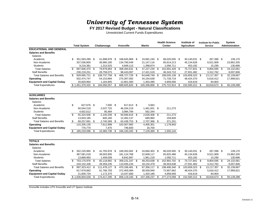**FY 2017 Revised Budget - Natural Classifications**

Unrestricted Current Funds Expenditures

|                                     |              | <b>Total System</b> |      | Chattanooga    |      | <b>Knoxville</b> |      | Martin         |      | <b>Health Science</b><br><b>Center</b> | Institute of<br><b>Agriculture</b> | <b>Institute for Public</b><br>Service |     | <b>System</b><br><b>Administration</b> |
|-------------------------------------|--------------|---------------------|------|----------------|------|------------------|------|----------------|------|----------------------------------------|------------------------------------|----------------------------------------|-----|----------------------------------------|
| <b>EDUCATIONAL AND GENERAL</b>      |              |                     |      |                |      |                  |      |                |      |                                        |                                    |                                        |     |                                        |
| <b>Salaries and Benefits</b>        |              |                     |      |                |      |                  |      |                |      |                                        |                                    |                                        |     |                                        |
| <b>Salaries</b>                     |              |                     |      |                |      |                  |      |                |      |                                        |                                    |                                        |     |                                        |
| Academic                            | \$.          | 351,593,289 \$      |      | 41,698,978 \$  |      | 168,645,969 \$   |      | 24,681,240 \$  |      | 86,020,505 \$                          | 30,140,031 \$                      | 267,396 \$                             |     | 139,170                                |
| Non-Academic                        |              | 337,036,800         |      | 36,966,180     |      | 134,790,549      |      | 21,147,116     |      | 65,614,213                             | 45,134,628                         | 9,521,909                              |     | 23,862,205                             |
| <b>Students</b>                     |              | 9,216,381           |      | 1,313,525      |      | 4,848,113        |      | 1,398,874      |      | 1,056,711                              | 453,182                            | 15,290                                 |     | 130,686                                |
| <b>Total Salaries</b>               | \$           | 697,846,470         | - \$ | 79,978,683 \$  |      | 308,284,631 \$   |      | 47,227,230 \$  |      | 152,691,429                            | \$<br>75,727,841 \$                | 9,804,595 \$                           |     | 24,132,061                             |
| <b>Staff Benefits</b>               |              | 230,219,251         |      | 28,759,075     |      | 98,443,097       |      | 17,421,519     |      | 46,343,710                             | 27,931,482                         | 3,312,762                              |     | 8.007.606                              |
| <b>Total Salaries and Benefits</b>  | \$           | 928,065,721         | \$   | 108,737,758 \$ |      | 406,727,728 \$   |      | 64,648,749 \$  |      | 199,035,139                            | \$<br>103,659,323 \$               | 13,117,357 \$                          |     | 32,139,667                             |
| Operating                           |              | 502,474,747         |      | 54,153,894     |      | 270,397,092      |      | 34,154,639     |      | 71,728,719                             | 48,424,370                         | 5,616,412                              |     | 17,999,621                             |
| <b>Equipment and Capital Outlay</b> |              | 20,829,964          |      | 1,164,905      |      | 12,801,000       |      | 1,403,480      |      | 4,959,056                              | 416,619                            | 84,904                                 |     |                                        |
| <b>Total Expenditures</b>           |              | $$1,451,370,432$ \$ |      | 164,056,557    | - \$ | 689,925,820      | \$   | 100,206,868 \$ |      | 275,722,914                            | \$<br>152,500,312 \$               | 18,818,673 \$                          |     | 50,139,288                             |
|                                     |              |                     |      |                |      |                  |      |                |      |                                        |                                    |                                        |     |                                        |
| <b>AUXILIARIES</b>                  |              |                     |      |                |      |                  |      |                |      |                                        |                                    |                                        |     |                                        |
| <b>Salaries and Benefits</b>        |              |                     |      |                |      |                  |      |                |      |                                        |                                    |                                        |     |                                        |
| <b>Salaries</b>                     |              |                     |      |                |      |                  |      |                |      |                                        |                                    |                                        |     |                                        |
| Academic                            | \$           | 627,676 \$          |      | $7,000$ \$     |      | 617,613 \$       |      | 3,063          |      |                                        |                                    |                                        |     |                                        |
| Non-Academic                        |              | 50,044,218          |      | 2,037,725      |      | 46,334,219       |      | 1.461.001 \$   |      | 211,273                                |                                    |                                        |     |                                        |
| <b>Students</b>                     |              | 4,652,612           |      | 95,484         |      | 3,994,784        |      | 562,344        |      |                                        |                                    |                                        |     |                                        |
| <b>Total Salaries</b>               | \$           | 55,324,506          | - \$ | 2,140,209 \$   |      | 50,946,616 \$    |      | 2,026,408 \$   |      | 211,273                                |                                    |                                        |     |                                        |
| <b>Staff Benefits</b>               |              | 13,933,185          |      | 600,160        |      | 12,492,137       |      | 680,960        |      | 159,928                                |                                    |                                        |     |                                        |
| <b>Total Salaries and Benefits</b>  | \$           | 69,257,691 \$       |      | 2,740,369 \$   |      | 63,438,753 \$    |      | 2,707,368 \$   |      | 371,201                                |                                    |                                        |     |                                        |
| Operating                           |              | 115,205,135         |      | 7,612,899      |      | 102,007,992      |      | 4,405,301      |      | 1,178,943                              |                                    |                                        |     |                                        |
| <b>Equipment and Capital Outlay</b> |              | 770,770             |      | 7,470          |      | 746,600          |      | 16,700         |      |                                        |                                    |                                        |     |                                        |
| <b>Total Expenditures</b>           | \$           | 185,233,596         | \$   | 10,360,738 \$  |      | 166,193,345      | \$   | 7,129,369 \$   |      | 1,550,144                              |                                    |                                        |     |                                        |
|                                     |              |                     |      |                |      |                  |      |                |      |                                        |                                    |                                        |     |                                        |
| <b>TOTALS</b>                       |              |                     |      |                |      |                  |      |                |      |                                        |                                    |                                        |     |                                        |
| <b>Salaries and Benefits</b>        |              |                     |      |                |      |                  |      |                |      |                                        |                                    |                                        |     |                                        |
| <b>Salaries</b>                     |              |                     |      |                |      |                  |      |                |      |                                        |                                    |                                        |     |                                        |
| Academic                            | \$.          | 352,220,965 \$      |      | 41,705,978 \$  |      | 169,263,582 \$   |      | 24,684,303 \$  |      | 86,020,505 \$                          | 30,140,031 \$                      | 267,396 \$                             |     | 139,170                                |
| Non-Academic                        |              | 387,081,018         |      | 39,003,905     |      | 181, 124, 768    |      | 22,608,117     |      | 65,825,486                             | 45,134,628                         | 9,521,909                              |     | 23,862,205                             |
| <b>Students</b>                     |              | 13,868,993          |      | 1,409,009      |      | 8,842,897        |      | 1,961,218      |      | 1,056,711                              | 453,182                            | 15,290                                 |     | 130,686                                |
| <b>Total Salaries</b>               | $\mathbb{S}$ | 753,170,976         | \$   | 82,118,892 \$  |      | 359,231,247 \$   |      | 49,253,638 \$  |      | 152,902,702 \$                         | 75,727,841 \$                      | 9,804,595 \$                           |     | 24,132,061                             |
| <b>Staff Benefits</b>               |              | 244, 152, 436       |      | 29,359,235     |      | 110,935,234      |      | 18,102,479     |      | 46,503,638                             | 27,931,482                         | 3,312,762                              |     | 8,007,606                              |
| <b>Total Salaries and Benefits</b>  | \$           | 997,323,412         | \$   | 111.478.127 \$ |      | 470.166.481      | - \$ | 67,356,117 \$  |      | 199,406,340                            | \$<br>103,659,323 \$               | 13,117,357 \$                          |     | 32,139,667                             |
| Operating                           |              | 617,679,882         |      | 61,766,793     |      | 372,405,084      |      | 38,559,940     |      | 72,907,662                             | 48,424,370                         | 5,616,412                              |     | 17,999,621                             |
| <b>Equipment and Capital Outlay</b> |              | 21,600,734          |      | 1,172,375      |      | 13,547,600       |      | 1,420,180      |      | 4,959,056                              | 416,619                            | 84,904                                 |     |                                        |
| <b>Total Expenditures</b>           |              | \$1,636,604,028     | \$   | 174,417,295    | - \$ | 856,119,165      | \$   | 107,336,237    | - \$ | 277,273,058                            | \$<br>152,500,312 \$               | 18,818,673                             | -\$ | 50,139,288                             |
|                                     |              |                     |      |                |      |                  |      |                |      |                                        |                                    |                                        |     |                                        |

Knoxville includes UTK Knoxville and UT Space Institute.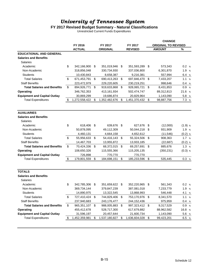#### **FY 2017 Revised Budget Summary - Natural Classifications**

Unrestricted Current Funds Expenditures

|                                     |    |               |                      |      |                |     | <b>CHANGE</b>              |           |
|-------------------------------------|----|---------------|----------------------|------|----------------|-----|----------------------------|-----------|
|                                     |    | FY 2016       | FY 2017              |      | FY 2017        |     | <b>ORIGINAL TO REVISED</b> |           |
|                                     |    | <b>ACTUAL</b> | <b>ORIGINAL</b>      |      | <b>REVISED</b> |     | <b>AMOUNT</b>              | %         |
| <b>EDUCATIONAL AND GENERAL</b>      |    |               |                      |      |                |     |                            |           |
| <b>Salaries and Benefits</b>        |    |               |                      |      |                |     |                            |           |
| Salaries                            |    |               |                      |      |                |     |                            |           |
| Academic                            | \$ | 342,166,900   | \$<br>351,019,946    | - \$ | 351,593,289    | \$  | 573,343                    | 0.2 %     |
| Non-Academic                        |    | 318,856,048   | 330,734,930          |      | 337,036,800    |     | 6,301,870                  | 1.9%      |
| <b>Students</b>                     |    | 10,430,843    | 8,658,387            |      | 9,216,381      |     | 557,994                    | 6.4 $%$   |
| <b>Total Salaries</b>               | \$ | 671,453,791   | \$<br>690,413,263    | \$   | 697,846,470    | \$  | 7,433,207                  | 1.1 %     |
| <b>Staff Benefits</b>               |    | 223,472,979   | 229,220,605          |      | 230,219,251    |     | 998,646                    | 0.4 %     |
| <b>Total Salaries and Benefits</b>  | \$ | 894,926,771   | \$<br>919,633,868    | \$   | 928,065,721    | \$  | 8,431,853                  | 0.9%      |
| Operating                           |    | 346,762,353   | 413,161,934          |      | 502,474,747    |     | 89,312,813                 | 21.6 %    |
| <b>Equipment and Capital Outlay</b> |    | 30,869,299    | 19,686,874           |      | 20,829,964     |     | 1,143,090                  | 5.8 %     |
| <b>Total Expenditures</b>           | S  | 1,272,558,422 | \$<br>1,352,482,676  | \$   | 1,451,370,432  | \$  | 98,887,756                 | 7.3%      |
|                                     |    |               |                      |      |                |     |                            |           |
| <b>AUXILIARIES</b>                  |    |               |                      |      |                |     |                            |           |
| <b>Salaries and Benefits</b>        |    |               |                      |      |                |     |                            |           |
| Salaries                            |    |               |                      |      |                |     |                            |           |
| Academic                            | \$ | 618,406       | \$<br>639,676 \$     |      | 627,676        | \$  | (12,000)                   | $(1.9)$ % |
| Non-Academic                        |    | 50,878,095    | 49,112,309           |      | 50,044,218     | \$  | 931,909                    | 1.9 %     |
| <b>Students</b>                     |    | 4,460,131     | 4,664,158            |      | 4,652,612      |     | (11, 546)                  | $(0.2)$ % |
| <b>Total Salaries</b>               | \$ | 55,956,633    | \$<br>54,416,143 \$  |      | 55,324,506     | \$  | 908,363                    | 1.7%      |
| <b>Staff Benefits</b>               |    | 14,467,703    | 13,955,872           |      | 13,933,185     |     | (22, 687)                  | $(0.2)$ % |
| <b>Total Salaries and Benefits</b>  | \$ | 70,424,336    | \$<br>68,372,015 \$  |      | 69,257,691     | \$  | 885,676                    | 1.3%      |
| Operating                           |    | 108,650,326   | 115,555,366          |      | 115,205,135    |     | (350, 231)                 | $(0.3)$ % |
| <b>Equipment and Capital Outlay</b> |    | 726,898       | 770,770              |      | 770,770        |     |                            |           |
| <b>Total Expenditures</b>           | \$ | 179,801,559   | \$<br>184,698,151    | \$   | 185,233,596    | \$  | 535,445                    | 0.3 %     |
| <b>TOTALS</b>                       |    |               |                      |      |                |     |                            |           |
| <b>Salaries and Benefits</b>        |    |               |                      |      |                |     |                            |           |
| <b>Salaries</b>                     |    |               |                      |      |                |     |                            |           |
| Academic                            | \$ | 342,785,306   | \$<br>351,659,622 \$ |      | 352,220,965    | -\$ | 561,343                    | 0.2 %     |
| Non-Academic                        |    | 369,734,144   | 379,847,239          |      | 387,081,018    |     | 7,233,779                  | 1.9 %     |
| <b>Students</b>                     |    | 14,890,975    | 13,322,545           |      | 13,868,993     |     | 546,448                    | 4.1 %     |
| <b>Total Salaries</b>               | \$ | 727,410,424   | \$<br>744,829,406    | \$   | 753,170,976    | \$  | 8,341,570                  | 1.1 %     |
| <b>Staff Benefits</b>               |    | 237,940,683   | 243,176,477          |      | 244, 152, 436  |     | 975,959                    | 0.4 %     |
| <b>Total Salaries and Benefits</b>  | \$ | 965,351,107   | \$<br>988,005,883    | \$   | 997,323,412    | -\$ | 9,317,529                  | 0.9 %     |
| Operating                           |    | 455,412,678   | 528,717,300          |      | 617,679,882    |     | 88,962,582                 | 16.8 %    |
| <b>Equipment and Capital Outlay</b> |    | 31,596,197    | 20,457,644           |      | 21,600,734     |     | 1,143,090                  | 5.6 $%$   |
| <b>Total Expenditures</b>           | \$ | 1,452,359,981 | \$<br>1,537,180,827  | \$   | 1,636,604,028  | \$  | 99,423,201                 | 6.5 $%$   |
|                                     |    |               |                      |      |                |     |                            |           |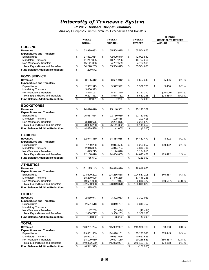#### **FY 2017 Revised Budget Summary**

Auxiliary Enterprises Funds Revenues, Expenditures and Transfers

|                                          |                         |                          |                       |                 |                         |                         | <b>CHANGE</b>              |           |
|------------------------------------------|-------------------------|--------------------------|-----------------------|-----------------|-------------------------|-------------------------|----------------------------|-----------|
|                                          |                         | FY 2016                  |                       | FY 2017         |                         | FY 2017                 | <b>ORIGINAL TO REVISED</b> |           |
|                                          |                         | <b>ACTUAL</b>            |                       | <b>ORIGINAL</b> |                         | <b>REVISED</b>          | <b>AMOUNT</b>              | %         |
| <b>HOUSING</b>                           |                         |                          |                       |                 |                         |                         |                            |           |
| <b>Revenues</b>                          | \$                      | 63,999,693               | \$                    | 65,564,675      | \$                      | 65,564,675              |                            |           |
| <b>Expenditures and Transfers</b>        |                         |                          |                       |                 |                         |                         |                            |           |
| Expenditures                             | \$                      | 37,831,014               | \$                    | 42,009,840      | \$                      | 42,009,840              |                            |           |
| <b>Mandatory Transfers</b>               |                         | 11,247,885               |                       | 18,797,266      |                         | 18,797,266              |                            |           |
| Non-Mandatory Transfers                  |                         |                          |                       | 4,757,569       |                         |                         |                            |           |
| <b>Total Expenditures and Transfers</b>  | \$                      | 15,141,366<br>64,220,265 | \$                    | 65,564,675      | $\sqrt{2}$              | 4,757,569<br>65,564,675 |                            |           |
|                                          |                         |                          |                       |                 |                         |                         |                            |           |
| <b>Fund Balance Addition/(Reduction)</b> | $\overline{\$}$         | (220, 572)               |                       |                 |                         |                         |                            |           |
| <b>FOOD SERVICE</b>                      |                         |                          |                       |                 |                         |                         |                            |           |
| <b>Revenues</b>                          | \$                      | 8,185,412                | \$                    | 8,681,912       | \$                      | 8,687,348               | \$<br>5,436                | 0.1 %     |
| <b>Expenditures and Transfers</b>        |                         |                          |                       |                 |                         |                         |                            |           |
| Expenditures                             | \$                      | 2,362,913                | \$                    | 3,327,342       | \$                      | 3,332,778               | \$<br>5,436                | 0.2 %     |
| <b>Mandatory Transfers</b>               |                         | 3,456,393                |                       |                 |                         |                         |                            |           |
| Non-Mandatory Transfers                  |                         | 3,478,127                |                       | 5,347,370       |                         | 5,327,370               | (20,000)                   | $(0.4)$ % |
| <b>Total Expenditures and Transfers</b>  | $\frac{1}{2}$           | 9,297,433                | \$                    | 8,674,712       | $\sqrt[6]{\frac{2}{5}}$ | 8,660,148               | \$<br>(14, 564)            | $(0.2)$ % |
| <b>Fund Balance Addition/(Reduction)</b> | $\overline{\mathbb{S}}$ | (1, 112, 021)            | \$                    | 7,200           | \$                      | 27,200                  |                            |           |
| <b>BOOKSTORES</b>                        |                         |                          |                       |                 |                         |                         |                            |           |
| <b>Revenues</b>                          |                         |                          |                       |                 |                         |                         |                            |           |
|                                          | \$                      | 24,496,670               | \$                    | 25,140,352      | \$                      | 25,140,352              |                            |           |
| <b>Expenditures and Transfers</b>        |                         |                          |                       |                 |                         |                         |                            |           |
| Expenditures                             | \$                      | 25,667,584               | \$                    | 22,780,059      | \$                      | 22,780,059              |                            |           |
| <b>Mandatory Transfers</b>               |                         |                          |                       | 109,418         |                         | 109,418                 |                            |           |
| Non-Mandatory Transfers                  |                         | 3,318,675                |                       | 2,251,875       |                         | 2,251,875               |                            |           |
| <b>Total Expenditures and Transfers</b>  | \$                      | 28,986,258               | \$                    | 25, 141, 352    | \$                      | 25, 141, 352            |                            |           |
| <b>Fund Balance Addition/(Reduction)</b> | \$                      | (4,489,589)              | \$                    | (1,000)         | \$                      | (1,000)                 |                            |           |
| <b>PARKING</b>                           |                         |                          |                       |                 |                         |                         |                            |           |
| <b>Revenues</b>                          | \$                      | 12,944,359               | \$                    | 14,454,055      | \$                      | 14,462,477              | \$<br>8,422                | 0.1 %     |
| <b>Expenditures and Transfers</b>        |                         |                          |                       |                 |                         |                         |                            |           |
|                                          | \$                      |                          | \$                    |                 |                         |                         | \$                         | 2.1%      |
| Expenditures                             |                         | 7,789,238                |                       | 9,014,535       | \$                      | 9,203,957               | 189,422                    |           |
| <b>Mandatory Transfers</b>               |                         | 2,946,365                |                       | 4,314,704       |                         | 4,314,704               |                            |           |
| Non-Mandatory Transfers                  |                         | 1,423,215                |                       | 1,124,816       |                         | 1,124,816               |                            |           |
| <b>Total Expenditures and Transfers</b>  | $\boldsymbol{\theta}$   | 12,158,818               | \$                    | 14,454,055      | $\frac{1}{2}$           | 14,643,477              | \$<br>189,422              | 1.3%      |
| <b>Fund Balance Addition/(Reduction)</b> | \$                      | 785,541                  |                       |                 | \$                      | (181,000)               |                            |           |
| <b>ATHLETICS</b>                         |                         |                          |                       |                 |                         |                         |                            |           |
| <b>Revenues</b>                          | \$                      | 131, 125, 143            | \$                    | 128,819,870     | \$                      | 128,819,870             |                            |           |
| <b>Expenditures and Transfers</b>        |                         |                          |                       |                 |                         |                         |                            |           |
| Expenditures                             | \$                      | 103,629,292              | \$                    | 104,216,618     | \$                      | 104,557,205             | \$<br>340,587              | 0.3 %     |
| <b>Mandatory Transfers</b>               |                         | 18,270,698               |                       | 17,446,238      |                         | 17,446,238              |                            |           |
| Non-Mandatory Transfers                  |                         | 10,601,008               |                       | 7,157,014       |                         | 6,816,427               | (340, 587)                 | $(4.8)$ % |
| <b>Total Expenditures and Transfers</b>  | $\frac{1}{2}$           | 132,500,998              | \$                    | 128,819,870     | \$                      | 128,819,870             |                            |           |
| <b>Fund Balance Addition/(Reduction)</b> | \$                      | (1, 375, 855)            |                       |                 |                         |                         |                            |           |
|                                          |                         |                          |                       |                 |                         |                         |                            |           |
| <b>OTHER</b>                             |                         |                          |                       |                 |                         |                         |                            |           |
| <b>Revenues</b>                          | \$                      | 2,539,947                | \$                    | 3,302,063       | \$                      | 3,302,063               |                            |           |
| <b>Expenditures and Transfers</b>        |                         |                          |                       |                 |                         |                         |                            |           |
| Expenditures                             | \$                      | 2,521,518                | \$                    | 3,349,757       | \$                      | 3,349,757               |                            |           |
| <b>Mandatory Transfers</b>               |                         |                          |                       |                 |                         |                         |                            |           |
| Non-Mandatory Transfers                  |                         | 147,259                  |                       | (41, 494)       |                         | (41, 494)               |                            |           |
| <b>Total Expenditures and Transfers</b>  | $\boldsymbol{\theta}$   | 2,668,777                | $\boldsymbol{\theta}$ | 3,308,263       | $\sqrt[6]{\frac{2}{5}}$ | 3,308,263               |                            |           |
| <b>Fund Balance Addition/(Reduction)</b> | $\overline{\$}$         | (128, 830)               | \$                    | (6,200)         | \$                      | (6,200)                 |                            |           |
| <b>TOTAL</b>                             |                         |                          |                       |                 |                         |                         |                            |           |
| <b>Revenues</b>                          |                         |                          |                       | 245,962,927     | \$                      |                         |                            | 0.0 %     |
|                                          | \$                      | 243,291,224              | \$                    |                 |                         | 245,976,785             | \$<br>13,858               |           |
| <b>Expenditures and Transfers</b>        |                         |                          |                       |                 |                         |                         |                            |           |
| Expenditures                             | \$                      | 179,801,559              | \$                    | 184,698,151     | \$                      | 185,233,596             | \$<br>535,445              | 0.3 %     |
| <b>Mandatory Transfers</b>               |                         | 35,921,341               |                       | 40,667,626      |                         | 40,667,626              |                            |           |
| Non-Mandatory Transfers                  |                         | 34,109,650               |                       | 20,597,150      |                         | 20,236,563              | (360, 587)                 | $(1.8)$ % |
| <b>Total Expenditures and Transfers</b>  | \$                      | 249,832,550              | \$                    | 245,962,927     | $\frac{1}{2}$           | 246, 137, 785           | \$<br>174,858              | 0.1 %     |
| <b>Fund Balance Addition/(Reduction)</b> | \$                      | (6, 541, 325)            |                       |                 | \$                      | (161,000)               |                            |           |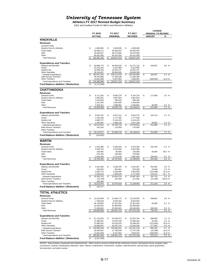**Athletics FY 2017 Revised Budget Summary**

E&G and Auxiliary Funds for Men's and Women's Athletics

|                                                                                |        | FY 2016                      |    | FY 2017                   | FY 2017                         | <b>CHANGE</b><br><b>ORIGINAL TO REVISED</b> |                    |
|--------------------------------------------------------------------------------|--------|------------------------------|----|---------------------------|---------------------------------|---------------------------------------------|--------------------|
|                                                                                |        | <b>ACTUAL</b>                |    | ORIGINAL                  | <b>REVISED</b>                  | <b>AMOUNT</b>                               | %                  |
| <b>KNOXVILLE</b>                                                               |        |                              |    |                           |                                 |                                             |                    |
| Revenues                                                                       |        |                              |    |                           |                                 |                                             |                    |
| <b>General Funds</b><br><b>Student Fees for Athletics</b>                      | \$     | 1,000,000                    | \$ | 1,000,000                 | \$<br>1,000,000                 |                                             |                    |
| <b>Ticket Sales</b>                                                            |        | 35,590,271                   |    | 36,305,870                | 36,305,870                      |                                             |                    |
| Gifts                                                                          |        | 29,039,027                   |    | 28,270,000                | 28,270,000                      |                                             |                    |
| Other                                                                          |        | 66,651,855                   |    | 64,241,500                | 64,241,500                      |                                             |                    |
| <b>Total Revenues</b>                                                          |        | 132,281,153                  | \$ | 129,817,370               | \$<br>129,817,370               |                                             |                    |
| <b>Expenditures and Transfers</b>                                              |        |                              |    |                           |                                 |                                             |                    |
| Salaries and Benefits                                                          | \$     | 40,966,776                   | \$ | 40,930,535                | \$<br>41,271,122                | \$<br>340,587                               | 0.8%               |
| Travel                                                                         |        | 10,216,344                   |    | 9,412,900                 | 9,412,900                       |                                             |                    |
| <b>Student Aid</b><br>Other Operating                                          |        | 13,209,345<br>39,134,827     |    | 15,201,137<br>38,669,506  | 15,201,137<br>38,669,506        |                                             |                    |
| <b>Subtotal Expenditures</b>                                                   |        | 103,527,292                  | \$ | 104,214,078               | \$<br>104,554,665               | \$<br>340,587                               | %<br>0.3           |
| <b>Debt Service Transfers</b>                                                  |        | 18,270,698                   |    | 17,446,238                | 17,446,238                      |                                             |                    |
| <b>Other Transfers</b>                                                         |        | 11,601,008                   |    | 8,157,054                 | 7,816,467                       | (340, 587)                                  | $(4.2)$ %          |
| <b>Total Expenditures and Transfers</b><br>Fund Balance Addition / (Reduction) | S<br>S | 133,398,998<br>(1, 117, 845) | S  | 129,817,370               | \$<br>129,817,370               |                                             |                    |
|                                                                                |        |                              |    |                           |                                 |                                             |                    |
| <b>CHATTANOOGA</b>                                                             |        |                              |    |                           |                                 |                                             |                    |
| Revenues                                                                       |        |                              |    |                           |                                 |                                             |                    |
| <b>General Funds</b><br><b>Student Fees for Athletics</b>                      | \$     | 6,711,302<br>4,549,281       | \$ | 6,582,279<br>4,991,503    | \$<br>6,754,374<br>4,991,503    | \$<br>172,095                               | 2.6%               |
| <b>Ticket Sales</b>                                                            |        | 1,043,949                    |    | 936,046                   | 936,046                         |                                             |                    |
| Gifts                                                                          |        | 1,321,643                    |    | 1,430,000                 | 1,430,000                       |                                             |                    |
| Other                                                                          |        | 2,403,311                    |    | 1,996,891                 | 2,036,891                       | 40.000                                      | 2.0<br>%           |
| <b>Total Revenues</b>                                                          |        | 16,029,486                   | \$ | 15,936,719                | \$<br>16,148,814                | \$<br>212,095                               | 1.3<br>%           |
|                                                                                |        |                              |    |                           |                                 |                                             |                    |
| <b>Expenditures and Transfers</b><br>Salaries and Benefits                     | S      | 6,642,791                    | \$ | 6,457,161                 | \$<br>6,610,275                 | \$<br>153.114                               | 2.4%               |
| Travel                                                                         |        | 1,235,528                    |    | 1,777,205                 | 1,777,205                       |                                             |                    |
| Student Aid                                                                    |        | 4,668,727                    |    | 5,144,225                 | 5,144,225                       |                                             |                    |
| Other Operating                                                                |        | 3,464,997                    |    | 2,388,128                 | 2,447,109                       | 58,981                                      | 2.5                |
| Subtotal Expenditures                                                          | \$     | 16,012,043                   | \$ | 15,766,719                | \$<br>15,978,814                | \$<br>212,095                               | 1.3                |
| <b>Debt Service Transfers</b><br><b>Other Transfers</b>                        |        | 161,534                      |    | 170,000                   | 170,000                         |                                             |                    |
| <b>Total Expenditures and Transfers</b>                                        | \$     | 16,173,577                   | \$ | 15,936,719                | \$<br>16,148,814                | \$<br>212,095                               | 1.3<br>$\%$        |
| Fund Balance Addition / (Reduction)                                            | \$     | (144, 091)                   |    |                           |                                 |                                             |                    |
| <b>MARTIN</b>                                                                  |        |                              |    |                           |                                 |                                             |                    |
|                                                                                |        |                              |    |                           |                                 |                                             |                    |
| Revenues                                                                       |        |                              |    |                           |                                 |                                             |                    |
| General Funds<br><b>Student Fees for Athletics</b>                             | \$     | 5,533,396<br>2,206,752       | \$ | 6,058,494<br>2,244,000    | \$<br>6,375,260<br>2,032,000    | \$<br>316,766                               | 5.2 %              |
| <b>Ticket Sales</b>                                                            |        | 105,662                      |    | 80,000                    | 120,000                         | 40,000                                      | 50.0 %             |
| Gifts                                                                          |        | 674,144                      |    | 700,000                   | 700,000                         |                                             |                    |
| Other                                                                          |        | 2,235,496                    |    | 1,715,140                 | 1,881,694                       | 166,554                                     | 9.7<br>%           |
| <b>Total Revenues</b>                                                          | \$     | 10,755,450                   | \$ | 10,797,634                | \$<br>11,108,954                | \$<br>523,320                               | 4.8<br>%           |
| <b>Expenditures and Transfers</b>                                              |        |                              |    |                           |                                 |                                             |                    |
| Salaries and Benefits                                                          | \$     | 4,105,465                    | \$ | 4,238,376                 | \$<br>4,441,367                 | \$<br>202,991                               | 4.8 %              |
| Travel                                                                         |        | 936,825                      |    | 842,661                   | 876,289                         | 33,628                                      | 4.0 %              |
| Student Aid                                                                    |        | 3,930,170                    |    | 4,164,658                 | 3,952,658                       | (212,000)                                   | (5.1) %            |
| Other Operating<br>Subtotal Expenditures                                       |        | 1,368,243<br>10,340,703      | \$ | 1,399,539                 | \$<br>1,717,640                 | \$<br>318,101<br>342,720                    | 22.7 %<br>3.2<br>% |
| <b>Debt Service Transfers</b>                                                  |        | (25, 730)                    |    | 10,645,234<br>152,400     | 10,987,954<br>121,000           | (31, 400)                                   | $(20.6)$ %         |
| Other Transfers                                                                |        | 200,000                      |    |                           |                                 |                                             |                    |
| <b>Total Expenditures and Transfers</b>                                        |        | 10,514,973                   | S  | 10,797,634                | 11,108,954                      | 311,320                                     | 2.9<br>%           |
| <b>Fund Balance Addition / (Reduction)</b>                                     | \$     | 240,477                      |    |                           |                                 |                                             |                    |
| <b>TOTAL ATHLETICS</b>                                                         |        |                              |    |                           |                                 |                                             |                    |
| Revenues                                                                       |        |                              |    |                           |                                 |                                             |                    |
| <b>General Funds</b>                                                           | \$     | 12,244,698                   | \$ | 12,640,773                | \$<br>13,129,634                | \$<br>488,861                               | 3.9%               |
| <b>Student Fees for Athletics</b>                                              |        | 7,756,033                    |    | 8,235,503                 | 8,023,503                       |                                             |                    |
| <b>Ticket Sales</b>                                                            |        | 36,739,882                   |    | 37,321,916                | 37,361,916                      | 40,000                                      | 0.1 %              |
| Gifts                                                                          |        | 31,034,814                   |    | 30,400,000                | 30,400,000                      |                                             |                    |
| Other<br><b>Total Revenues</b>                                                 |        | 71,290,662<br>159,066,089    | \$ | 67,953,531<br>156,551,723 | \$<br>68,160,085<br>157,075,138 | \$<br>206,554<br>735,415                    | 0.3%<br>0.5<br>%   |
|                                                                                |        |                              |    |                           |                                 |                                             |                    |
| Expenditures and Transfers                                                     |        |                              |    |                           |                                 |                                             |                    |
| Salaries and Benefits<br>Travel                                                | \$     | 51,715,032<br>12,388,697     | \$ | 51,626,072<br>12,032,766  | \$<br>52,322,764<br>12,066,394  | \$<br>696,692<br>33,628                     | 1.3%<br>0.3%       |
| Student Aid                                                                    |        | 21,808,242                   |    | 24,510,020                | 24,298,020                      | (212,000)                                   | $(0.9)$ %          |
| Other Operating                                                                |        | 43,968,067                   |    | 42,457,173                | 42,834,255                      | 377,082                                     | 0.9%               |
| Subtotal Expenditures                                                          |        | 129,880,038                  | \$ | 130,626,031               | \$<br>131,521,433               | \$<br>895,402                               | 0.7<br>%           |
| Debt Service Transfers                                                         |        | 18,406,502                   |    | 17,768,638                | 17,737,238                      | (31, 400)                                   | $(0.2)$ %          |
| <b>Other Transfers</b><br><b>Total Expenditures and Transfers</b>              | \$     | 11,801,008<br>160,087,548    | \$ | 8,157,054<br>156,551,723  | \$<br>7,816,467<br>157,075,138  | \$<br>(340, 587)<br>523,415                 | $(4.2)$ %<br>0.3 % |
| Fund Balance Addition / (Reduction)                                            | \$     | (1,021,459)                  |    |                           |                                 |                                             |                    |
|                                                                                |        |                              |    |                           |                                 |                                             |                    |

NOTES: Data includes unrestricted and restricted funds. Other revenue sources include NCAA conference income, tournament income, program sales,<br>concessions, parking, broadcasting, television, radio, internet, endowments, i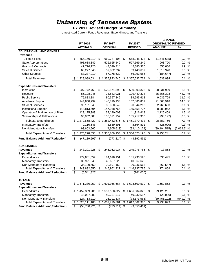#### **FY 2017 Revised Budget Summary**

|                                           |     |                     |                          |                 |                     | <b>CHANGE</b>              |               |
|-------------------------------------------|-----|---------------------|--------------------------|-----------------|---------------------|----------------------------|---------------|
|                                           |     | FY 2016             |                          | FY 2017         | FY 2017             | <b>ORIGINAL TO REVISED</b> |               |
|                                           |     | <b>ACTUALS</b>      |                          | <b>ORIGINAL</b> | <b>REVISED</b>      | <b>AMOUNT</b>              | %             |
| <b>EDUCATIONAL AND GENERAL</b>            |     |                     |                          |                 |                     |                            |               |
| <b>Revenues</b>                           |     |                     |                          |                 |                     |                            |               |
| <b>Tuition &amp; Fees</b>                 | \$  | 655,160,210         | \$                       | 669,787,108     | \$<br>668,245,473   | \$<br>(1,541,635)          | $(0.2)$ %     |
| <b>State Appropriations</b>               |     | 498,638,349         |                          | 526,665,549     | 527,569,249         | 903,700                    | 0.2 %         |
| <b>Grants &amp; Contracts</b>             |     | 47,776,120          |                          | 44,529,714      | 45,380,370          | 850,656                    | 1.9 %         |
| Sales & Service                           |     | 63,277,345          |                          | 57,832,737      | 59,443,657          | 1,610,920                  | 2.8%          |
| <b>Other Sources</b>                      |     | 63,237,010          |                          | 57,178,632      | 56,993,985          | (184, 647)                 | (0.3) %       |
| <b>Total Revenues</b>                     | \$. | 1,328,089,034       |                          | \$1,355,993,740 | \$1,357,632,734     | \$<br>1,638,994            | 0.1 %         |
| <b>Expenditures and Transfers</b>         |     |                     |                          |                 |                     |                            |               |
| Instruction                               | \$  | 507,772,768         | \$                       | 570,871,393     | \$<br>590,903,322   | \$<br>20,031,929           | 3.5%          |
| Research                                  |     | 85,108,045          |                          | 73,583,021      | 109,449,324         | 35,866,303                 | 48.7 %        |
| <b>Public Service</b>                     |     | 75,883,884          |                          | 80,557,849      | 89,593,618          | 9,035,769                  | 11.2 %        |
| <b>Academic Support</b>                   |     | 144,850,799         |                          | 146,819,933     | 167,886,851         | 21,066,918                 | 14.3 %        |
| <b>Student Services</b>                   |     | 90,151,545          |                          | 88,080,549      | 90,844,212          | 2,763,663                  | 3.1%          |
| <b>Institutional Support</b>              |     | 143,813,604         |                          | 147,368,765     | 155,658,727         | 8,289,962                  | 5.6 %         |
| Operation & Maintenace of Plant           |     | 129,125,389         |                          | 139,190,009     | 141,316,418         | 2,126,409                  | 1.5%          |
| Scholarships & Fellowships                |     | 95,852,388          |                          | 106,011,157     | 105,717,960         | (293, 197)                 | $(0.3)$ %     |
| <b>Subtotal Expenditures</b>              |     | \$1,272,558,422     |                          | \$1,352,482,676 | \$1,451,370,432     | \$<br>98,887,756           | 7.3%          |
| <b>Mandatory Transfers</b>                |     | 9,116,648           |                          | 8,589,891       | 8,564,891           | (25,000)                   | $(0.3)$ %     |
| Non-Mandatory Transfers                   |     | 93,603,560          |                          | (4,305,613)     | (93, 410, 128)      | (89, 104, 515)             | $(2,069.5)$ % |
| <b>Total Expenditures &amp; Transfers</b> |     | \$1,375,278,630     |                          | \$1,356,766,954 | \$1,366,525,195     | \$<br>9,758,241            | 0.7 %         |
| <b>Fund Balance Addition/(Reduction)</b>  | \$  | $(47, 189, 596)$ \$ |                          | $(773, 214)$ \$ | (8,892,461)         |                            |               |
| <b>AUXILIARIES</b>                        |     |                     |                          |                 |                     |                            |               |
| <b>Revenues</b>                           | \$  | 243,291,225         | \$                       | 245,962,927     | \$<br>245,976,785   | \$<br>13,858               | 0.0%          |
| <b>Expenditures and Transfers</b>         |     |                     |                          |                 |                     |                            |               |
| Expenditures                              |     | 179,801,559         |                          | 184,698,151     | 185,233,596         | 535,445                    | 0.3%          |
| <b>Mandatory Transfers</b>                |     | 35,921,341          |                          | 40,667,626      | 40,667,626          |                            |               |
| Non-Mandatory Transfers                   |     | 34,109,650          |                          | 20,597,150      | 20,236,563          | (360, 587)                 | (1.8) %       |
| <b>Total Expenditures &amp; Transfers</b> | \$  | 249,832,550         | \$                       | 245,962,927     | \$<br>246,137,785   | \$<br>174,858              | %<br>0.1      |
| <b>Fund Balance Addition/(Reduction)</b>  | \$  | (6, 541, 325)       |                          |                 | \$<br>(161,000)     |                            |               |
| <b>TOTALS</b>                             |     |                     |                          |                 |                     |                            |               |
| <b>Revenues</b>                           | \$  | 1,571,380,259       |                          | \$1,601,956,667 | \$<br>1,603,609,519 | \$<br>1,652,852            | 0.1 %         |
| <b>Expenditures and Transfers</b>         |     |                     |                          |                 |                     |                            |               |
| Expenditures                              |     | \$1,452,359,981     |                          | \$1,537,180,827 | \$1,636,604,028     | \$<br>99,423,201           | 6.5%          |
| <b>Mandatory Transfers</b>                |     | 45,037,989          |                          | 49,257,517      | 49,232,517          | (25,000)                   | (0.1) %       |
| Non-Mandatory Transfers                   |     | 127,713,210         |                          | 16,291,537      | (73, 173, 565)      | (89, 465, 102)             | $(549.2)$ %   |
| <b>Total Expenditures &amp; Transfers</b> | \$  | 1,625,111,180       |                          | \$1,602,729,881 | \$<br>1,612,662,980 | \$<br>9,933,099            | 0.6%          |
| <b>Fund Balance Addition/(Reduction)</b>  | \$  | (53,730,921)        | $\overline{\mathcal{E}}$ | $(773, 214)$ \$ | (9,053,461)         |                            |               |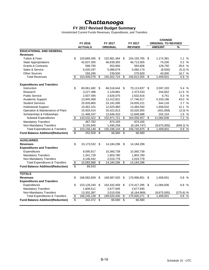# *Chattanooga*

#### **FY 2017 Revised Budget Summary**

|                                           |                         |                |                 |                 |               |                |                            | <b>CHANGE</b> |             |  |  |
|-------------------------------------------|-------------------------|----------------|-----------------|-----------------|---------------|----------------|----------------------------|---------------|-------------|--|--|
|                                           | FY 2016                 |                |                 | FY 2017         |               | FY 2017        | <b>ORIGINAL TO REVISED</b> |               |             |  |  |
|                                           |                         | <b>ACTUALS</b> |                 | <b>ORIGINAL</b> |               | <b>REVISED</b> |                            | <b>AMOUNT</b> | %           |  |  |
| <b>EDUCATIONAL AND GENERAL</b>            |                         |                |                 |                 |               |                |                            |               |             |  |  |
| <b>Revenues</b>                           |                         |                |                 |                 |               |                |                            |               |             |  |  |
| <b>Tuition &amp; Fees</b>                 | \$                      | 103,869,395    | \$              | 102,981,384     | \$            | 104,155,765    | \$                         | 1,174,381     | 1.1%        |  |  |
| <b>State Appropriations</b>               |                         | 42,637,305     |                 | 46,639,305      |               | 46,713,505     |                            | 74,200        | 0.2 %       |  |  |
| <b>Grants &amp; Contracts</b>             |                         | 588,790        |                 | 453,856         |               | 583,606        |                            | 129,750       | 28.6 %      |  |  |
| Sales & Service                           |                         | 6,020,297      |                 | 5,088,679       |               | 5,080,179      |                            | (8,500)       | (0.2) %     |  |  |
| <b>Other Sources</b>                      |                         | 293,290        |                 | 239,500         |               | 279,500        |                            | 40,000        | 16.7 %      |  |  |
| <b>Total Revenues</b>                     | \$                      | 153,409,078    | \$              | 155,402,724     | \$            | 156,812,555    | \$                         | 1,409,831     | 0.9%        |  |  |
| <b>Expenditures and Transfers</b>         |                         |                |                 |                 |               |                |                            |               |             |  |  |
| Instruction                               | \$                      | 60,061,482     | \$              | 66,516,644      | \$            | 70,113,837     | \$                         | 3,597,193     | 5.4 %       |  |  |
| Research                                  |                         | 3,227,388      |                 | 2,129,881       |               | 2,374,533      |                            | 244,652       | 11.5 %      |  |  |
| <b>Public Service</b>                     |                         | 2,507,595      |                 | 2,626,075       |               | 2,632,816      |                            | 6,741         | 0.3 %       |  |  |
| Academic Support                          |                         | 13,945,468     |                 | 12,412,821      |               | 17,746,017     |                            | 5,333,196     | 43.0 %      |  |  |
| <b>Student Services</b>                   |                         | 25,926,865     |                 | 24,191,095      |               | 24,835,221     |                            | 644,126       | 2.7%        |  |  |
| <b>Institutional Support</b>              |                         | 10,462,101     |                 | 12,025,960      |               | 13,484,592     |                            | 1,458,632     | 12.1 %      |  |  |
| Operation & Maintenance of Plant          |                         | 15,933,414     |                 | 20,422,813      |               | 20,020,955     |                            | (401, 858)    | (2.0) %     |  |  |
| Scholarships & Fellowships                |                         | 11,468,107     |                 | 12,646,432      |               | 12,848,586     |                            | 202,154       | 1.6 %       |  |  |
| <b>Subtotal Expenditures</b>              | \$                      | 143,532,422    | \$              | 152,971,721     | \$            | 164,056,557    | \$                         | 11,084,836    | 7.2 %       |  |  |
| <b>Mandatory Transfers</b>                |                         | 467,782        |                 | 874,165         |               | 874,165        |                            |               |             |  |  |
| Non-Mandatory Transfers                   |                         | 9,155,945      |                 | 1,490,258       |               | (8, 184, 747)  |                            | (9,675,005)   | $(649.2)$ % |  |  |
| <b>Total Expenditures &amp; Transfers</b> | $\overline{\mathbf{e}}$ | 153,156,149    | \$              | 155,336,144     | \$            | 156,745,975    | \$                         | 1,409,831     | 0.9%        |  |  |
| <b>Fund Balance Addition/(Reduction)</b>  | \$                      | 252,928        | \$              | 66,580          | $\sqrt[6]{3}$ | 66,580         |                            |               |             |  |  |
| <b>AUXILIARIES</b>                        |                         |                |                 |                 |               |                |                            |               |             |  |  |
| <b>Revenues</b>                           | \$                      | 15,173,532     | \$              | 14,184,296      | \$            | 14,184,296     |                            |               |             |  |  |
| <b>Expenditures and Transfers</b>         |                         |                |                 |                 |               |                |                            |               |             |  |  |
| Expenditures                              |                         | 9,595,817      |                 | 10,360,738      |               | 10,360,738     |                            |               |             |  |  |
| <b>Mandatory Transfers</b>                |                         | 1,341,729      |                 | 1,803,780       |               | 1,803,780      |                            |               |             |  |  |
| Non-Mandatory Transfers                   |                         | 4,146,442      |                 | 2,019,778       |               | 2,019,778      |                            |               |             |  |  |
| <b>Total Expenditures &amp; Transfers</b> | \$                      | 15,083,988     | \$              | 14,184,296      | \$            | 14,184,296     |                            |               |             |  |  |
| <b>Fund Balance Addition/(Reduction)</b>  | \$                      | 89,543         |                 |                 |               |                |                            |               |             |  |  |
| <b>TOTALS</b>                             |                         |                |                 |                 |               |                |                            |               |             |  |  |
| <b>Revenues</b>                           | \$                      | 168,582,609    | \$              | 169,587,020     | \$            | 170,996,851    | \$                         | 1,409,831     | 0.8%        |  |  |
| <b>Expenditures and Transfers</b>         |                         |                |                 |                 |               |                |                            |               |             |  |  |
| Expenditures                              | \$                      | 153,128,240    | \$              | 163,332,459     | \$            | 174,417,295    | \$                         | 11,084,836    | 6.8%        |  |  |
| <b>Mandatory Transfers</b>                |                         | 1,809,511      |                 | 2,677,945       |               | 2,677,945      |                            |               |             |  |  |
| Non-Mandatory Transfers                   |                         | 13,302,387     |                 | 3,510,036       |               | (6, 164, 969)  |                            | (9,675,005)   | (275.6) %   |  |  |
| <b>Total Expenditures &amp; Transfers</b> | \$                      | 168,240,138    | \$              | 169,520,440     | \$            | 170,930,271    | \$                         | 1,409,831     | 0.8<br>%    |  |  |
| <b>Fund Balance Addition/(Reduction)</b>  | \$                      | 342,472        | $\overline{\$}$ | 66,580          | \$            | 66,580         |                            |               |             |  |  |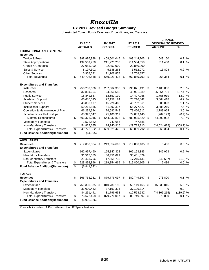### *Knoxville*

#### **FY 2017 Revised Budget Summary**

Unrestricted Current Funds Revenues, Expenditures, and Transfers

|                                           |         |                |    |                 |    |                |    | <b>CHANGE</b>              |                      |  |
|-------------------------------------------|---------|----------------|----|-----------------|----|----------------|----|----------------------------|----------------------|--|
|                                           | FY 2016 |                |    | FY 2017         |    | FY 2017        |    | <b>ORIGINAL TO REVISED</b> |                      |  |
|                                           |         | <b>ACTUALS</b> |    | <b>ORIGINAL</b> |    | <b>REVISED</b> |    | <b>AMOUNT</b>              | $\frac{9}{6}$        |  |
| <b>EDUCATIONAL AND GENERAL</b>            |         |                |    |                 |    |                |    |                            |                      |  |
| <b>Revenues</b>                           |         |                |    |                 |    |                |    |                            |                      |  |
| <b>Tuition &amp; Fees</b>                 | \$      | 398,986,988    | S  | 408,601,045     | \$ | 409,244,205    | \$ | 643,160                    | 0.2 %                |  |
| <b>State Appropriations</b>               |         | 199,509,758    |    | 211,223,258     |    | 211,534,658    |    | 311,400                    | 0.1 %                |  |
| <b>Grants &amp; Contracts</b>             |         | 27,055,900     |    | 22,850,000      |    | 22,850,000     |    |                            |                      |  |
| Sales & Service                           |         | 8,197,302      |    | 5,538,268       |    | 5,552,072      |    | 13,804                     | 0.2%                 |  |
| <b>Other Sources</b>                      |         | 15,958,621     |    | 11,708,857      |    | 11,708,857     |    |                            |                      |  |
| <b>Total Revenues</b>                     | \$      | 649,708,568    | \$ | 659,921,428     | \$ | 660,889,792    | \$ | 968,364                    | $\frac{0}{0}$<br>0.1 |  |
| <b>Expenditures and Transfers</b>         |         |                |    |                 |    |                |    |                            |                      |  |
| Instruction                               | \$      | 250,253,626    | \$ | 287,662,355     | \$ | 295,071,191    | \$ | 7,408,836                  | 2.6 %                |  |
| Research                                  |         | 32,894,664     |    | 24,066,558      |    | 49,921,289     |    | 25,854,731                 | 107.4 %              |  |
| <b>Public Service</b>                     |         | 15,842,637     |    | 12,650,139      |    | 14,407,058     |    | 1,756,919                  | 13.9 %               |  |
| Academic Support                          |         | 66,680,095     |    | 72,152,124      |    | 75,216,542     |    | 3,064,418                  | 4.2 %                |  |
| <b>Student Services</b>                   |         | 45,880,197     |    | 45,226,468      |    | 45,732,561     |    | 506,093                    | $\%$<br>1.1          |  |
| <b>Institutional Support</b>              |         | 50,266,835     |    | 51,392,317      |    | 55,277,527     |    | 3,885,210                  | 7.6 %                |  |
| Operation & Maintenance of Plant          |         | 66,234,344     |    | 76,682,548      |    | 79,466,512     |    | 2,783,964                  | 3.6%                 |  |
| Scholarships & Fellowships                |         | 65,320,647     |    | 75,100,319      |    | 74,833,140     |    | (267, 179)                 | (0.4) %              |  |
| Subtotal Expenditures                     | \$      | 593,373,045    | \$ | 644,932,828     | \$ | 689,925,820    | \$ | 44,992,992                 | 7.0%                 |  |
| <b>Mandatory Transfers</b>                |         | 1,572,832      |    | 747,685         |    | 747,685        |    |                            |                      |  |
| Non-Mandatory Transfers                   |         | 54,827,685     |    | 14,240,915      |    | (29, 783, 713) |    | (44,024,628)               | $(309.1)$ %          |  |
| <b>Total Expenditures &amp; Transfers</b> | \$      | 649,773,562    | \$ | 659,921,428     | \$ | 660,889,792    | \$ | 968,364                    | 0.1 %                |  |
| <b>Fund Balance Addition/(Reduction)</b>  | \$      | (64, 995)      |    |                 |    |                |    |                            |                      |  |
| <b>AUXILIARIES</b>                        |         |                |    |                 |    |                |    |                            |                      |  |
| <b>Revenues</b>                           | \$      | 217,057,364    | \$ | 219,854,669     | \$ | 219,860,105    | \$ | 5,436                      | 0.0%                 |  |
| <b>Expenditures and Transfers</b>         |         |                |    |                 |    |                |    |                            |                      |  |
| Expenditures                              |         | 162,957,490    |    | 165,847,322     |    | 166,193,345    |    | 346,023                    | 0.2%                 |  |
| <b>Mandatory Transfers</b>                |         | 31,517,650     |    | 36,451,629      |    | 36,451,629     |    |                            |                      |  |
| Non-Mandatory Transfers                   |         | 29,423,756     |    | 17,555,718      |    | 17,215,131     |    | (340, 587)                 | (1.9) %              |  |
| <b>Total Expenditures &amp; Transfers</b> | \$      | 223,898,896    | \$ | 219,854,669     | \$ | 219,860,105    | \$ | 5,436                      | 0.0%                 |  |
| <b>Fund Balance Addition/(Reduction)</b>  | \$      | (6,841,532)    |    |                 |    |                |    |                            |                      |  |
| <b>TOTALS</b>                             |         |                |    |                 |    |                |    |                            |                      |  |
| <b>Revenues</b>                           | \$      | 866,765,931    | \$ | 879,776,097     | \$ | 880,749,897 \$ |    | 973,800                    | 0.1 %                |  |
| <b>Expenditures and Transfers</b>         |         |                |    |                 |    |                |    |                            |                      |  |
| Expenditures                              | \$      | 756,330,535    | \$ | 810,780,150     | \$ | 856,119,165    | \$ | 45,339,015                 | 5.6 %                |  |
| <b>Mandatory Transfers</b>                |         | 33,090,482     |    | 37,199,314      |    | 37,199,314     |    | $\Omega$                   | 0.0                  |  |
| Non-Mandatory Transfers                   |         | 84,251,441     |    | 31,796,633      |    | (12,568,582)   |    | (44, 365, 215)             | $(139.5)$ %          |  |
| <b>Total Expenditures &amp; Transfers</b> | \$      | 873,672,458    | \$ | 879,776,097     | \$ | 880,749,897    | \$ | 973,800                    | %<br>0.1             |  |
| <b>Fund Balance Addition/(Reduction)</b>  | \$      | (6,906,526)    |    |                 |    |                |    |                            |                      |  |

Knoxville includes UT Knoxville and the UT Space Institute.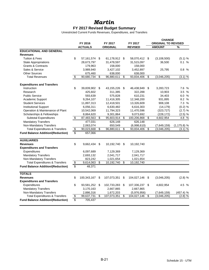### *Martin*

### **FY 2017 Revised Budget Summary**

|                                           |                          |                |    |                 |         |                |     | <b>CHANGE</b>              |                |  |
|-------------------------------------------|--------------------------|----------------|----|-----------------|---------|----------------|-----|----------------------------|----------------|--|
|                                           | FY 2016                  |                |    | FY 2017         | FY 2017 |                |     | <b>ORIGINAL TO REVISED</b> |                |  |
|                                           |                          | <b>ACTUALS</b> |    | <b>ORIGINAL</b> |         | <b>REVISED</b> |     | <b>AMOUNT</b>              | %              |  |
| <b>EDUCATIONAL AND GENERAL</b>            |                          |                |    |                 |         |                |     |                            |                |  |
| <b>Revenues</b>                           |                          |                |    |                 |         |                |     |                            |                |  |
| <b>Tuition &amp; Fees</b>                 | \$                       | 57, 161, 574   | \$ | 61,178,912 \$   |         | 58,070,412 \$  |     | (3, 108, 500)              | (5.1) %        |  |
| <b>State Appropriations</b>               |                          | 28,673,797     |    | 31,478,597      |         | 31,515,097     |     | 36,500                     | 0.1%           |  |
| <b>Grants &amp; Contracts</b>             |                          | 179,963        |    | 158,000         |         | 158,000        |     |                            |                |  |
| Sales & Service                           |                          | 3,989,940      |    | 3,427,102       |         | 3,452,897      |     | 25,795                     | 0.8%           |  |
| <b>Other Sources</b>                      |                          | 675,460        |    | 638,000         |         | 638,000        |     |                            |                |  |
| <b>Total Revenues</b>                     | \$                       | 90,680,734     | \$ | 96,880,611      | \$      | 93,834,406     | \$  | (3,046,205)                | (3.1) %        |  |
| <b>Expenditures and Transfers</b>         |                          |                |    |                 |         |                |     |                            |                |  |
| Instruction                               | \$                       | 39,839,902     | \$ | 43, 155, 226    | -\$     | 46,438,949     | \$  | 3,283,723                  | 7.6 %          |  |
| Research                                  |                          | 425,602        |    | 311,385         |         | 322,288        |     | 10,903                     | 3.5%           |  |
| <b>Public Service</b>                     |                          | 593,639        |    | 575,828         |         | 610,231        |     | 34,403                     | 6.0 %          |  |
| Academic Support                          |                          | 9,264,107      |    | 11,416,305      |         | 12,348,200     |     | 931,895                    | 8.2 %          |  |
| <b>Student Services</b>                   |                          | 11,897,313     |    | 12,418,501      |         | 13,326,609     |     | 908,108                    | 7.3%           |  |
| <b>Institutional Support</b>              |                          | 6,056,311      |    | 6,630,482       |         | 6,616,303      |     | (14, 179)                  | (0.2) %        |  |
| Operation & Maintenance of Plant          |                          | 10,542,069     |    | 11,794,323      |         | 11,470,596     |     | (323, 727)                 | (2.7) %        |  |
| Scholarships & Fellowships                |                          | 8,864,620      |    | 9,301,864       |         | 9,073,692      |     | (228, 172)                 | (2.5) %        |  |
| <b>Subtotal Expenditures</b>              | \$                       | 87,483,563     | \$ | 95,603,914      | \$      | 100,206,868    | \$  | 4,602,954                  | 4.8 %          |  |
| <b>Mandatory Transfers</b>                |                          | 477,031        |    | 626,148         |         | 626,148        |     |                            |                |  |
| Non-Mandatory Transfers                   |                          | 2,063,074      |    | 650,549         |         | (6,998,610)    |     | (7,649,159)                | $(1, 175.8)$ % |  |
| <b>Total Expenditures &amp; Transfers</b> | $\overline{\mathcal{E}}$ | 90,023,668     | \$ | 96,880,611      | \$      | 93,834,406     | \$  | (3,046,205)                | (3.1) %        |  |
| <b>Fund Balance Addition/(Reduction)</b>  | \$                       | 657,066        |    |                 |         |                |     |                            |                |  |
| <b>AUXILIARIES</b>                        |                          |                |    |                 |         |                |     |                            |                |  |
| <b>Revenues</b>                           | \$                       | 9,662,434      | \$ | 10,192,740      | -\$     | 10,192,740     |     |                            |                |  |
| <b>Expenditures and Transfers</b>         |                          |                |    |                 |         |                |     |                            |                |  |
| Expenditures                              |                          | 6,097,689      |    | 7,129,369       |         | 7,129,369      |     |                            |                |  |
| <b>Mandatory Transfers</b>                |                          | 2,693,132      |    | 2,041,717       |         | 2,041,717      |     |                            |                |  |
| Non-Mandatory Transfers                   |                          | 823,242        |    | 1,021,654       |         | 1,021,654      |     |                            |                |  |
| <b>Total Expenditures &amp; Transfers</b> | \$                       | 9,614,063      | \$ | 10,192,740      | s)      | 10,192,740     |     |                            |                |  |
| <b>Fund Balance Addition/(Reduction)</b>  | \$                       | 48,371         |    |                 |         |                |     |                            |                |  |
| <b>TOTALS</b>                             |                          |                |    |                 |         |                |     |                            |                |  |
| <b>Revenues</b>                           | \$                       | 100,343,167    | \$ | 107,073,351     | \$      | 104,027,146    | \$  | (3,046,205)                | (2.8) %        |  |
| <b>Expenditures and Transfers</b>         |                          |                |    |                 |         |                |     |                            |                |  |
| Expenditures                              | \$                       | 93,581,252     | \$ | 102,733,283     | \$      | 107,336,237    | -\$ | 4,602,954                  | 4.5 %          |  |
| <b>Mandatory Transfers</b>                |                          | 3,170,163      |    | 2,667,865       |         | 2,667,865      |     |                            |                |  |
| Non-Mandatory Transfers                   |                          | 2,886,316      |    | 1,672,203       |         | (5,976,956)    |     | (7,649,159)                | (457.4) %      |  |
| <b>Total Expenditures &amp; Transfers</b> | \$                       | 99,637,731     | \$ | 107,073,351     | \$      | 104,027,146    | \$  | (3,046,205)                | (2.8)%         |  |
| <b>Fund Balance Addition/(Reduction)</b>  | \$                       | 705,437        |    |                 |         |                |     |                            |                |  |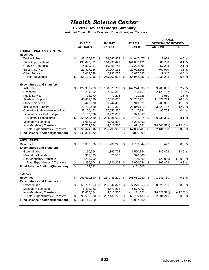# *Health Science Center*

#### **FY 2017 Revised Budget Summary**

|                                           |         |                |    |                 |                 |                |    | <b>CHANGE</b>              |             |  |  |
|-------------------------------------------|---------|----------------|----|-----------------|-----------------|----------------|----|----------------------------|-------------|--|--|
|                                           | FY 2016 |                |    | FY 2017         | FY 2017         |                |    | <b>ORIGINAL TO REVISED</b> |             |  |  |
|                                           |         | <b>ACTUALS</b> |    | <b>ORIGINAL</b> |                 | <b>REVISED</b> |    | <b>AMOUNT</b>              | %           |  |  |
| <b>EDUCATIONAL AND GENERAL</b>            |         |                |    |                 |                 |                |    |                            |             |  |  |
| <b>Revenues</b>                           |         |                |    |                 |                 |                |    |                            |             |  |  |
| <b>Tuition &amp; Fees</b>                 | \$      | 83,206,372     | \$ | 84,640,459      | \$              | 84,647,477 \$  |    | 7,018                      | 0.0%        |  |  |
| <b>State Appropriations</b>               |         | 135,670,521    |    | 140,995,421     |                 | 141,082,121    |    | 86,700                     | 0.1%        |  |  |
| <b>Grants &amp; Contracts</b>             |         | 14,815,367     |    | 16,865,745      |                 | 17,222,998     |    | 357,253                    | 2.1%        |  |  |
| Sales & Service                           |         | 21,407,136     |    | 20,204,135      |                 | 20,972,105     |    | 767,970                    | 3.8 %       |  |  |
| <b>Other Sources</b>                      |         | 3,013,548      |    | 2,998,238       |                 | 3,017,585      |    | 19,347                     | 0.6%        |  |  |
| <b>Total Revenues</b>                     | \$      | 258,112,945    | \$ | 265,703,998     | \$              | 266,942,286    | \$ | 1,238,288                  | 0.5%        |  |  |
| <b>Expenditures and Transfers</b>         |         |                |    |                 |                 |                |    |                            |             |  |  |
| Instruction                               | \$      | 127,999,468    | \$ | 138,570,757     | \$              | 142,274,638    | \$ | 3,703,881                  | 2.7%        |  |  |
| Research                                  |         | 9,294,992      |    | 7,653,398       |                 | 9,783,165      |    | 2,129,767                  | 27.8 %      |  |  |
| <b>Public Service</b>                     |         | 38,070         |    | 70,276          |                 | 71,326         |    | 1,050                      | 1.5 %       |  |  |
| <b>Academic Support</b>                   |         | 45,872,330     |    | 42,655,010      |                 | 53,732,774     |    | 11,077,764                 | 26.0 %      |  |  |
| <b>Student Services</b>                   |         | 6,447,170      |    | 6,244,485       |                 | 6,949,821      |    | 705,336                    | 11.3 %      |  |  |
| <b>Institutional Support</b>              |         | 25,720,450     |    | 23,817,362      |                 | 26,840,119     |    | 3,022,757                  | 12.7 %      |  |  |
| Operation & Maintenance of Plant          |         | 33,100,453     |    | 27,052,230      |                 | 27,147,984     |    | 95,754                     | 0.4%        |  |  |
| Scholarships & Fellowships                |         | 10,173,506     |    | 8,923,087       |                 | 8,923,087      |    |                            |             |  |  |
| <b>Subtotal Expenditures</b>              | \$      | 258,646,439    | \$ | 254,986,605     | \$              | 275,722,914    | \$ | 20,736,309                 | 8.1 %       |  |  |
| <b>Mandatory Transfers</b>                |         | 6,056,103      |    | 6,206,893       |                 | 6,206,893      |    |                            |             |  |  |
| Non-Mandatory Transfers                   |         | 33,722,374     |    | 4,510,500       |                 | (14,091,021)   |    | (18,601,521)               | $(412.4)$ % |  |  |
| <b>Total Expenditures &amp; Transfers</b> | \$      | 298,424,916    | \$ | 265,703,998     | \$              | 267,838,786    | \$ | 2,134,788                  | 0.8%        |  |  |
| <b>Fund Balance Addition/(Reduction)</b>  | \$      | (40, 311, 972) |    |                 | \$              | (896, 500)     |    |                            |             |  |  |
| <b>AUXILIARIES</b>                        |         |                |    |                 |                 |                |    |                            |             |  |  |
| <b>Revenues</b>                           | \$      | 1,397,896      | \$ | 1,731,222       | \$              | 1,739,644      | \$ | 8,422                      | 0.5%        |  |  |
| <b>Expenditures and Transfers</b>         |         |                |    |                 |                 |                |    |                            |             |  |  |
| Expenditures                              |         | 1,150,564      |    | 1,360,722       |                 | 1,550,144      |    | 189,422                    | 13.9 %      |  |  |
| <b>Mandatory Transfers</b>                |         | 368,830        |    | 370,500         |                 | 370,500        |    |                            |             |  |  |
| Non-Mandatory Transfers                   |         | (283,790)      |    |                 |                 | (20,000)       |    | (20,000)                   | $(100.0)$ % |  |  |
| <b>Total Expenditures &amp; Transfers</b> | \$      | 1,235,604      | \$ | 1,731,222       | $\overline{\$}$ | 1,900,644      | \$ | 169,422                    | 9.8%        |  |  |
| <b>Fund Balance Addition/(Reduction)</b>  | \$      | 162,292        |    |                 | \$              | (161,000)      |    |                            |             |  |  |
| <b>TOTALS</b>                             |         |                |    |                 |                 |                |    |                            |             |  |  |
| <b>Revenues</b>                           | \$      | 259,510,840    | \$ | 267,435,220     | \$              | 268,681,930    | \$ | 1,246,710                  | 0.5%        |  |  |
| <b>Expenditures and Transfers</b>         |         |                |    |                 |                 |                |    |                            |             |  |  |
| Expenditures                              | \$      | 259,797,003    | \$ | 256,347,327     | \$              | 277,273,058    | \$ | 20,925,731                 | 8.2 %       |  |  |
| <b>Mandatory Transfers</b>                |         | 6,424,933      |    | 6,577,393       |                 | 6,577,393      |    |                            |             |  |  |
| Non-Mandatory Transfers                   |         | 33,438,584     |    | 4,510,500       |                 | (14, 111, 021) |    | (18,621,521)               | $(412.8)$ % |  |  |
| <b>Total Expenditures &amp; Transfers</b> | \$      | 299,660,520    | \$ | 267,435,220     | \$              | 269,739,430    | \$ | 2,304,210                  | 0.9%        |  |  |
| <b>Fund Balance Addition/(Reduction)</b>  | \$      | (40, 149, 680) |    |                 | \$              | (1,057,500)    |    |                            |             |  |  |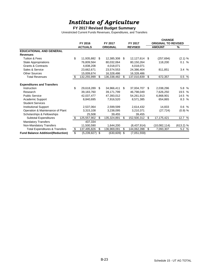# *Institute of Agriculture*

#### **FY 2017 Revised Budget Summary**

|                                           |         |                  |    |                 |     |                |     | <b>CHANGE</b>              |             |  |  |
|-------------------------------------------|---------|------------------|----|-----------------|-----|----------------|-----|----------------------------|-------------|--|--|
|                                           | FY 2016 |                  |    | FY 2017         |     | FY 2017        |     | <b>ORIGINAL TO REVISED</b> |             |  |  |
|                                           |         | <b>ACTUALS</b>   |    | <b>ORIGINAL</b> |     | <b>REVISED</b> |     | <b>AMOUNT</b>              | ℅           |  |  |
| <b>EDUCATIONAL AND GENERAL</b>            |         |                  |    |                 |     |                |     |                            |             |  |  |
| <b>Revenues</b>                           |         |                  |    |                 |     |                |     |                            |             |  |  |
| <b>Tuition &amp; Fees</b>                 | \$      | 11,935,882       | \$ | 12,385,308      | \$  | 12,127,614     | -\$ | (257, 694)                 | (2.1) %     |  |  |
| <b>State Appropriations</b>               |         | 76,809,564       |    | 80,032,064      |     | 80,150,264     |     | 118,200                    | 0.1 %       |  |  |
| <b>Grants &amp; Contracts</b>             |         | 4,838,208        |    | 4,018,071       |     | 4,018,071      |     |                            |             |  |  |
| Sales & Service                           |         | 23,662,671       |    | 23,574,553      |     | 24,386,404     |     | 811,851                    | 3.4%        |  |  |
| <b>Other Sources</b>                      |         | 15,009,674       |    | 16,328,486      |     | 16,328,486     |     |                            |             |  |  |
| <b>Total Revenues</b>                     | \$      | 132,255,999      | \$ | 136,338,482     | \$. | 137,010,839    | \$  | 672,357                    | 0.5 %       |  |  |
| <b>Expenditures and Transfers</b>         |         |                  |    |                 |     |                |     |                            |             |  |  |
| Instruction                               | \$      | 29,618,289       | \$ | 34,966,411      | \$  | 37,004,707     | \$. | 2,038,296                  | 5.8 %       |  |  |
| Research                                  |         | 39,183,760       |    | 39,171,799      |     | 46,798,049     |     | 7,626,250                  | 19.5 %      |  |  |
| <b>Public Service</b>                     |         | 42,037,477       |    | 47,393,012      |     | 54,261,913     |     | 6,868,901                  | 14.5 %      |  |  |
| <b>Academic Support</b>                   |         | 8,840,695        |    | 7,916,520       |     | 8,571,385      |     | 654,865                    | 8.3 %       |  |  |
| <b>Student Services</b>                   |         |                  |    |                 |     |                |     |                            |             |  |  |
| <b>Institutional Support</b>              |         | 2,537,064        |    | 2,599,599       |     | 2,614,432      |     | 14,833                     | 0.6%        |  |  |
| Operation & Maintenance of Plant          |         | 3,315,108        |    | 3,238,095       |     | 3,210,371      |     | (27, 724)                  | $(0.9)$ %   |  |  |
| Scholarships & Fellowships                |         | 25,508           |    | 39,455          |     | 39,455         |     |                            |             |  |  |
| Subtotal Expenditures                     | \$      | 125,557,902      | \$ | 135,324,891     | \$  | 152,500,312    | \$  | 17,175,421                 | 12.7 %      |  |  |
| <b>Mandatory Transfers</b>                |         | 437,334          |    |                 |     |                |     |                            |             |  |  |
| Non-Mandatory Transfers                   |         | 11,500,590       |    | 1,644,200       |     | (8,437,914)    |     | (10,082,114)               | $(613.2)$ % |  |  |
| <b>Total Expenditures &amp; Transfers</b> | \$      | 137,495,826      | \$ | 136,969,091     | \$  | 144,062,398    | \$  | 7,093,307                  | 5.2%        |  |  |
| <b>Fund Balance Addition/(Reduction)</b>  | \$      | $(5,239,827)$ \$ |    | $(630, 609)$ \$ |     | (7,051,559)    |     |                            |             |  |  |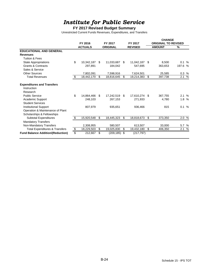# *Institute for Public Service*

### **FY 2017 Revised Budget Summary**

|                                           |         |                |    |                 |         |                |                            | <b>CHANGE</b> |         |   |  |
|-------------------------------------------|---------|----------------|----|-----------------|---------|----------------|----------------------------|---------------|---------|---|--|
|                                           | FY 2016 |                |    | FY 2017         | FY 2017 |                | <b>ORIGINAL TO REVISED</b> |               |         |   |  |
|                                           |         | <b>ACTUALS</b> |    | <b>ORIGINAL</b> |         | <b>REVISED</b> |                            | <b>AMOUNT</b> | ℅       |   |  |
| <b>EDUCATIONAL AND GENERAL</b>            |         |                |    |                 |         |                |                            |               |         |   |  |
| <b>Revenues</b>                           |         |                |    |                 |         |                |                            |               |         |   |  |
| <b>Tuition &amp; Fees</b>                 |         |                |    |                 |         |                |                            |               |         |   |  |
| <b>State Appropriations</b>               | \$      | 10,342,187     | \$ | 11,033,687      | -\$     | 11,042,187     | \$                         | 8,500         | 0.1%    |   |  |
| Grants & Contracts                        |         | 297,891        |    | 184,042         |         | 547,695        |                            | 363,653       | 197.6 % |   |  |
| Sales & Service                           |         |                |    |                 |         |                |                            |               |         |   |  |
| Other Sources                             |         | 7,802,091      |    | 7,598,916       |         | 7,624,501      |                            | 25,585        | 0.3 %   |   |  |
| <b>Total Revenues</b>                     | \$      | 18,442,170     | \$ | 18,816,645      | \$      | 19,214,383     | \$                         | 397,738       | 2.1     | % |  |
| <b>Expenditures and Transfers</b>         |         |                |    |                 |         |                |                            |               |         |   |  |
| Instruction                               |         |                |    |                 |         |                |                            |               |         |   |  |
| Research                                  |         |                |    |                 |         |                |                            |               |         |   |  |
| <b>Public Service</b>                     | \$      | 14,864,466     | \$ | 17,242,519 \$   |         | 17,610,274 \$  |                            | 367,755       | 2.1%    |   |  |
| Academic Support                          |         | 248,103        |    | 267.153         |         | 271,933        |                            | 4,780         | 1.8%    |   |  |
| <b>Student Services</b>                   |         |                |    |                 |         |                |                            |               |         |   |  |
| <b>Institutional Support</b>              |         | 807,979        |    | 935,651         |         | 936,466        |                            | 815           | 0.1%    |   |  |
| Operation & Maintenance of Plant          |         |                |    |                 |         |                |                            |               |         |   |  |
| Scholarships & Fellowships                |         |                |    |                 |         |                |                            |               |         |   |  |
| <b>Subtotal Expenditures</b>              | \$      | 15,920,548     | \$ | 18,445,323      | \$      | 18,818,673     | \$                         | 373,350       | 2.0 %   |   |  |
| <b>Mandatory Transfers</b>                |         |                |    |                 |         |                |                            |               |         |   |  |
| Non-Mandatory Transfers                   |         | 2,308,955      |    | 580,507         |         | 613,507        |                            | 33,000        | 5.7 %   |   |  |
| <b>Total Expenditures &amp; Transfers</b> | \$      | 18,229,503     | \$ | 19,025,830      | \$      | 19,432,180     | \$                         | 406,350       | 2.1     | % |  |
| <b>Fund Balance Addition/(Reduction)</b>  | \$      | 212,667        | \$ | $(209, 185)$ \$ |         | (217, 797)     |                            |               |         |   |  |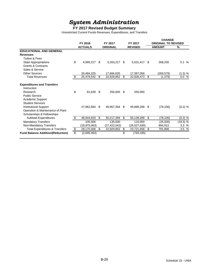# *System Administration*

#### **FY 2017 Revised Budget Summary**

|                                           |                           |                |    |                            |     |                           |      | <b>CHANGE</b>                               |           |  |  |
|-------------------------------------------|---------------------------|----------------|----|----------------------------|-----|---------------------------|------|---------------------------------------------|-----------|--|--|
|                                           | FY 2016<br><b>ACTUALS</b> |                |    | FY 2017<br><b>ORIGINAL</b> |     | FY 2017<br><b>REVISED</b> |      | <b>ORIGINAL TO REVISED</b><br><b>AMOUNT</b> | ℅         |  |  |
| <b>EDUCATIONAL AND GENERAL</b>            |                           |                |    |                            |     |                           |      |                                             |           |  |  |
| <b>Revenues</b>                           |                           |                |    |                            |     |                           |      |                                             |           |  |  |
| Tuition & Fees                            |                           |                |    |                            |     |                           |      |                                             |           |  |  |
| State Appropriations                      | \$                        | 4,995,217      | \$ | 5,263,217                  | -S  | 5,531,417 \$              |      | 268,200                                     | 5.1 %     |  |  |
| <b>Grants &amp; Contracts</b>             |                           |                |    |                            |     |                           |      |                                             |           |  |  |
|                                           |                           |                |    |                            |     |                           |      |                                             |           |  |  |
| Sales & Service                           |                           |                |    |                            |     |                           |      |                                             |           |  |  |
| Other Sources                             |                           | 20,484,325     |    | 17,666,635                 |     | 17,397,056                |      | (269, 579)                                  | (1.5) %   |  |  |
| <b>Total Revenues</b>                     | \$                        | 25,479,542     | \$ | 22,929,852                 | \$  | 22,928,473                | \$   | (1,379)                                     | 0.0 %     |  |  |
| <b>Expenditures and Transfers</b>         |                           |                |    |                            |     |                           |      |                                             |           |  |  |
| Instruction                               |                           |                |    |                            |     |                           |      |                                             |           |  |  |
| Research                                  | \$                        | 81,639         | \$ | 250,000                    | \$  | 250,000                   |      |                                             |           |  |  |
| <b>Public Service</b>                     |                           |                |    |                            |     |                           |      |                                             |           |  |  |
| Academic Support                          |                           |                |    |                            |     |                           |      |                                             |           |  |  |
| <b>Student Services</b>                   |                           |                |    |                            |     |                           |      |                                             |           |  |  |
| <b>Institutional Support</b>              |                           | 47,962,864     | \$ | 49,967,394                 | -\$ | 49.889.288 \$             |      | (78, 106)                                   | (0.2) %   |  |  |
| Operation & Maintenance of Plant          |                           |                |    |                            |     |                           |      |                                             |           |  |  |
| Scholarships & Fellowships                |                           |                |    |                            |     |                           |      |                                             |           |  |  |
| Subtotal Expenditures                     | \$                        | 48,044,503     | \$ | 50,217,394                 | \$  | 50,139,288                | \$   | (78, 106)                                   | $(0.2)$ % |  |  |
| <b>Mandatory Transfers</b>                |                           | 105,566        |    | 135,000                    |     | 110,000                   |      | (25,000)                                    | (18.5) %  |  |  |
| Non-Mandatory Transfers                   |                           | (19, 975, 063) |    | (27, 422, 542)             |     | (26, 527, 630)            |      | 894,912                                     | 3.3%      |  |  |
| <b>Total Expenditures &amp; Transfers</b> | \$                        | 28,175,006     | \$ | 22,929,852                 | \$  | 23,721,658                | - \$ | 791,806                                     | 3.5 %     |  |  |
| <b>Fund Balance Addition/(Reduction)</b>  | \$                        | (2,695,464)    |    |                            | \$  | (793, 185)                |      |                                             |           |  |  |